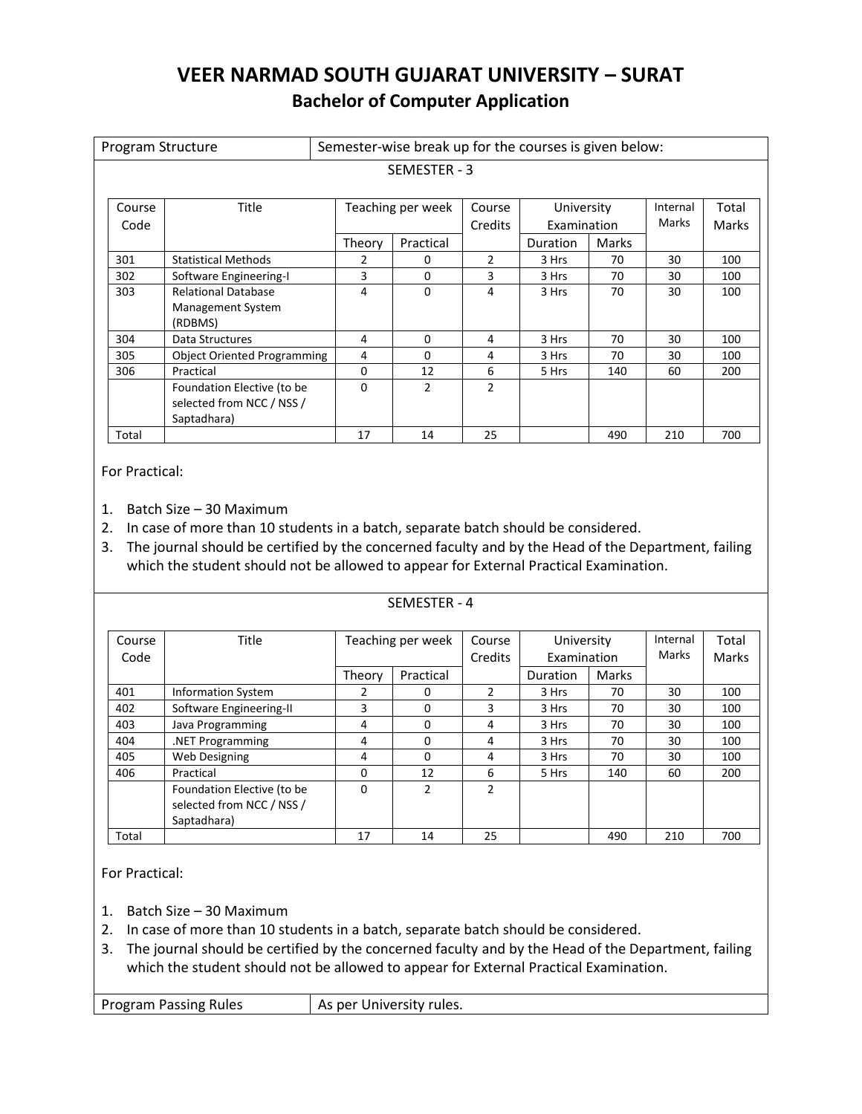# **VEER NARMAD SOUTH GUJARAT UNIVERSITY – SURAT Bachelor of Computer Application**

| Program Structure |                                                                        | Semester-wise break up for the courses is given below: |                   |                   |                           |       |                   |                |
|-------------------|------------------------------------------------------------------------|--------------------------------------------------------|-------------------|-------------------|---------------------------|-------|-------------------|----------------|
|                   |                                                                        |                                                        | SEMESTER - 3      |                   |                           |       |                   |                |
| Course<br>Code    | Title                                                                  |                                                        | Teaching per week | Course<br>Credits | University<br>Examination |       | Internal<br>Marks | Total<br>Marks |
|                   |                                                                        | Theory                                                 | Practical         |                   | Duration                  | Marks |                   |                |
| 301               | <b>Statistical Methods</b>                                             | 2                                                      | 0                 | $\overline{2}$    | 3 Hrs                     | 70    | 30                | 100            |
| 302               | Software Engineering-I                                                 | 3                                                      | $\Omega$          | 3                 | 3 Hrs                     | 70    | 30                | 100            |
| 303               | <b>Relational Database</b><br><b>Management System</b><br>(RDBMS)      | 4                                                      | 0                 | 4                 | 3 Hrs                     | 70    | 30                | 100            |
| 304               | Data Structures                                                        | 4                                                      | $\Omega$          | 4                 | 3 Hrs                     | 70    | 30                | 100            |
| 305               | <b>Object Oriented Programming</b>                                     | 4                                                      | $\Omega$          | 4                 | 3 Hrs                     | 70    | 30                | 100            |
| 306               | Practical                                                              | 0                                                      | 12                | 6                 | 5 Hrs                     | 140   | 60                | 200            |
|                   | Foundation Elective (to be<br>selected from NCC / NSS /<br>Saptadhara) | 0                                                      | 2                 | $\overline{2}$    |                           |       |                   |                |
| Total             |                                                                        | 17                                                     | 14                | 25                |                           | 490   | 210               | 700            |

For Practical:

1. Batch Size – 30 Maximum

- 2. In case of more than 10 students in a batch, separate batch should be considered.
- 3. The journal should be certified by the concerned faculty and by the Head of the Department, failing which the student should not be allowed to appear for External Practical Examination.

|                |                                                                        |        | SEMESTER - 4      |                   |                           |       |                   |                |
|----------------|------------------------------------------------------------------------|--------|-------------------|-------------------|---------------------------|-------|-------------------|----------------|
| Course<br>Code | <b>Title</b>                                                           |        | Teaching per week | Course<br>Credits | University<br>Examination |       | Internal<br>Marks | Total<br>Marks |
|                |                                                                        | Theory | Practical         |                   | Duration                  | Marks |                   |                |
| 401            | <b>Information System</b>                                              | 2      | 0                 | $\mathcal{P}$     | 3 Hrs                     | 70    | 30                | 100            |
| 402            | Software Engineering-II                                                | 3      | 0                 | 3                 | 3 Hrs                     | 70    | 30                | 100            |
| 403            | Java Programming                                                       | 4      | 0                 | 4                 | 3 Hrs                     | 70    | 30                | 100            |
| 404            | .NET Programming                                                       | 4      | 0                 | 4                 | 3 Hrs                     | 70    | 30                | 100            |
| 405            | Web Designing                                                          | 4      | $\Omega$          | 4                 | 3 Hrs                     | 70    | 30                | 100            |
| 406            | Practical                                                              | 0      | 12                | 6                 | 5 Hrs                     | 140   | 60                | 200            |
|                | Foundation Elective (to be<br>selected from NCC / NSS /<br>Saptadhara) | 0      | 2                 | 2                 |                           |       |                   |                |
| Total          |                                                                        | 17     | 14                | 25                |                           | 490   | 210               | 700            |

For Practical:

- 1. Batch Size 30 Maximum
- 2. In case of more than 10 students in a batch, separate batch should be considered.
- 3. The journal should be certified by the concerned faculty and by the Head of the Department, failing which the student should not be allowed to appear for External Practical Examination.

Program Passing Rules  $\vert$  As per University rules.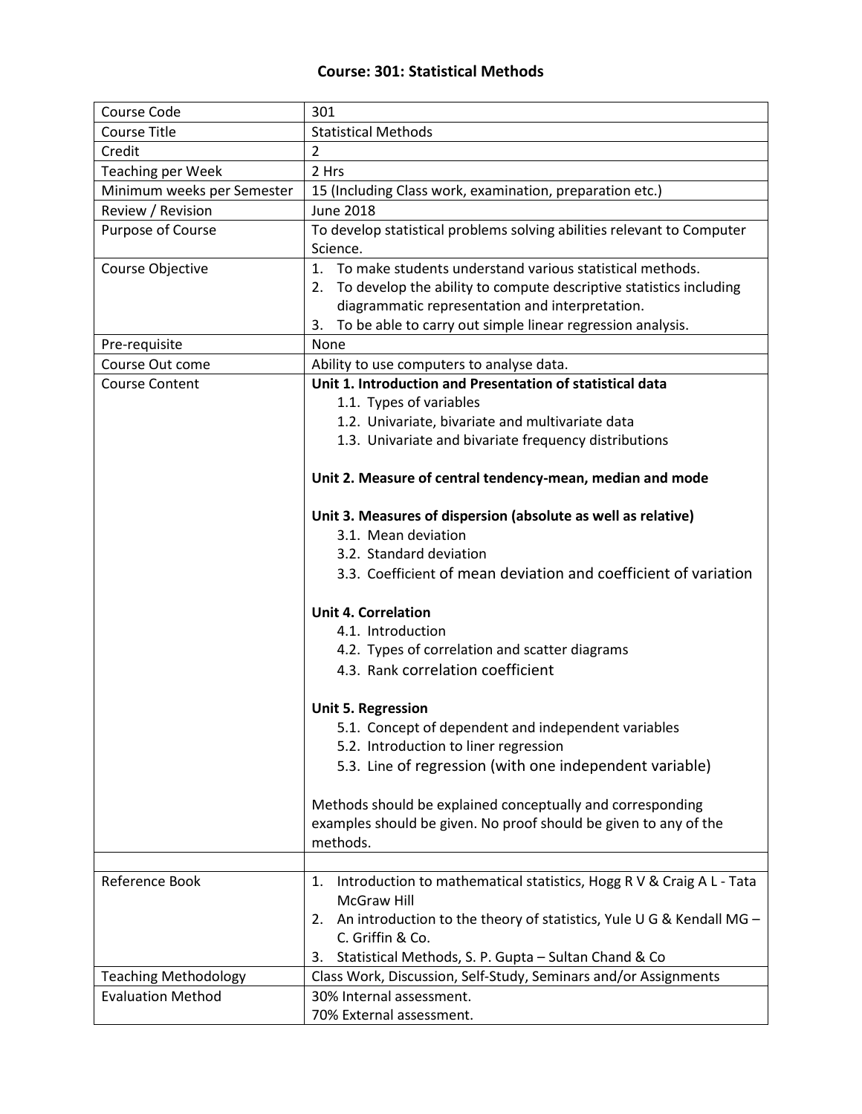## **Course: 301: Statistical Methods**

| <b>Course Code</b>          | 301                                                                        |
|-----------------------------|----------------------------------------------------------------------------|
| <b>Course Title</b>         | <b>Statistical Methods</b>                                                 |
| Credit                      | $\overline{2}$                                                             |
| <b>Teaching per Week</b>    | 2 Hrs                                                                      |
| Minimum weeks per Semester  | 15 (Including Class work, examination, preparation etc.)                   |
| Review / Revision           | <b>June 2018</b>                                                           |
| Purpose of Course           | To develop statistical problems solving abilities relevant to Computer     |
|                             | Science.                                                                   |
| Course Objective            | 1. To make students understand various statistical methods.                |
|                             | 2. To develop the ability to compute descriptive statistics including      |
|                             | diagrammatic representation and interpretation.                            |
|                             | To be able to carry out simple linear regression analysis.<br>3.           |
| Pre-requisite               | None                                                                       |
| Course Out come             | Ability to use computers to analyse data.                                  |
| <b>Course Content</b>       | Unit 1. Introduction and Presentation of statistical data                  |
|                             | 1.1. Types of variables                                                    |
|                             | 1.2. Univariate, bivariate and multivariate data                           |
|                             | 1.3. Univariate and bivariate frequency distributions                      |
|                             |                                                                            |
|                             | Unit 2. Measure of central tendency-mean, median and mode                  |
|                             |                                                                            |
|                             | Unit 3. Measures of dispersion (absolute as well as relative)              |
|                             | 3.1. Mean deviation                                                        |
|                             | 3.2. Standard deviation                                                    |
|                             | 3.3. Coefficient of mean deviation and coefficient of variation            |
|                             | <b>Unit 4. Correlation</b>                                                 |
|                             | 4.1. Introduction                                                          |
|                             | 4.2. Types of correlation and scatter diagrams                             |
|                             | 4.3. Rank correlation coefficient                                          |
|                             |                                                                            |
|                             | <b>Unit 5. Regression</b>                                                  |
|                             | 5.1. Concept of dependent and independent variables                        |
|                             | 5.2. Introduction to liner regression                                      |
|                             | 5.3. Line of regression (with one independent variable)                    |
|                             |                                                                            |
|                             | Methods should be explained conceptually and corresponding                 |
|                             | examples should be given. No proof should be given to any of the           |
|                             | methods.                                                                   |
|                             |                                                                            |
| Reference Book              | Introduction to mathematical statistics, Hogg R V & Craig A L - Tata<br>1. |
|                             | <b>McGraw Hill</b>                                                         |
|                             | 2. An introduction to the theory of statistics, Yule U G & Kendall MG -    |
|                             | C. Griffin & Co.                                                           |
|                             | Statistical Methods, S. P. Gupta - Sultan Chand & Co<br>3.                 |
| <b>Teaching Methodology</b> | Class Work, Discussion, Self-Study, Seminars and/or Assignments            |
| <b>Evaluation Method</b>    | 30% Internal assessment.                                                   |
|                             | 70% External assessment.                                                   |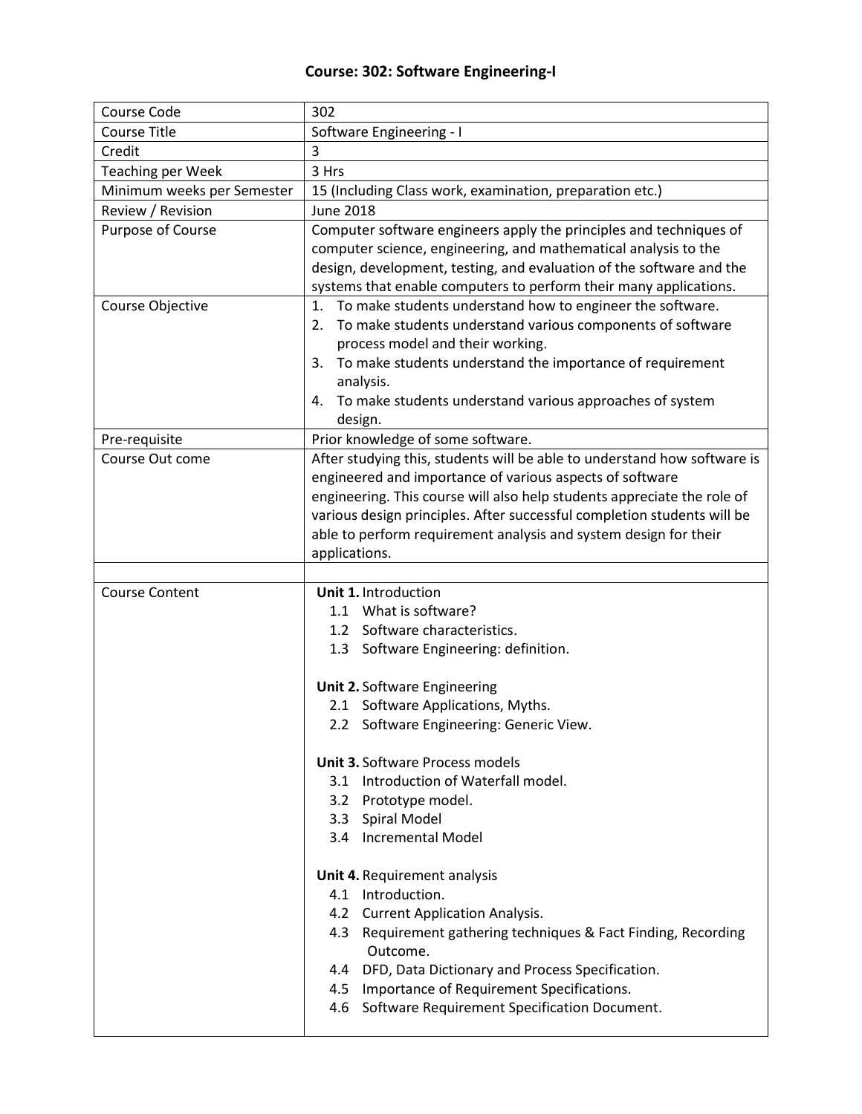## **Course: 302: Software Engineering-I**

| Course Code                | 302                                                                      |
|----------------------------|--------------------------------------------------------------------------|
| <b>Course Title</b>        | Software Engineering - I                                                 |
| Credit                     | 3                                                                        |
| <b>Teaching per Week</b>   | 3 Hrs                                                                    |
| Minimum weeks per Semester | 15 (Including Class work, examination, preparation etc.)                 |
| Review / Revision          | <b>June 2018</b>                                                         |
| Purpose of Course          | Computer software engineers apply the principles and techniques of       |
|                            | computer science, engineering, and mathematical analysis to the          |
|                            | design, development, testing, and evaluation of the software and the     |
|                            | systems that enable computers to perform their many applications.        |
| Course Objective           | To make students understand how to engineer the software.<br>1.          |
|                            | To make students understand various components of software<br>2.         |
|                            | process model and their working.                                         |
|                            | To make students understand the importance of requirement<br>3.          |
|                            | analysis.                                                                |
|                            | To make students understand various approaches of system<br>4.           |
|                            | design.                                                                  |
| Pre-requisite              | Prior knowledge of some software.                                        |
| Course Out come            | After studying this, students will be able to understand how software is |
|                            | engineered and importance of various aspects of software                 |
|                            | engineering. This course will also help students appreciate the role of  |
|                            | various design principles. After successful completion students will be  |
|                            | able to perform requirement analysis and system design for their         |
|                            | applications.                                                            |
|                            |                                                                          |
|                            |                                                                          |
| <b>Course Content</b>      | Unit 1. Introduction                                                     |
|                            | 1.1 What is software?                                                    |
|                            | 1.2 Software characteristics.                                            |
|                            | 1.3 Software Engineering: definition.                                    |
|                            |                                                                          |
|                            | <b>Unit 2. Software Engineering</b>                                      |
|                            | 2.1 Software Applications, Myths.                                        |
|                            | 2.2 Software Engineering: Generic View.                                  |
|                            | <b>Unit 3. Software Process models</b>                                   |
|                            | 3.1 Introduction of Waterfall model.                                     |
|                            | 3.2 Prototype model.                                                     |
|                            | 3.3 Spiral Model                                                         |
|                            | 3.4 Incremental Model                                                    |
|                            |                                                                          |
|                            | Unit 4. Requirement analysis                                             |
|                            | 4.1 Introduction.                                                        |
|                            | 4.2 Current Application Analysis.                                        |
|                            | Requirement gathering techniques & Fact Finding, Recording<br>4.3        |
|                            | Outcome.                                                                 |
|                            | 4.4 DFD, Data Dictionary and Process Specification.                      |
|                            | 4.5 Importance of Requirement Specifications.                            |
|                            | 4.6 Software Requirement Specification Document.                         |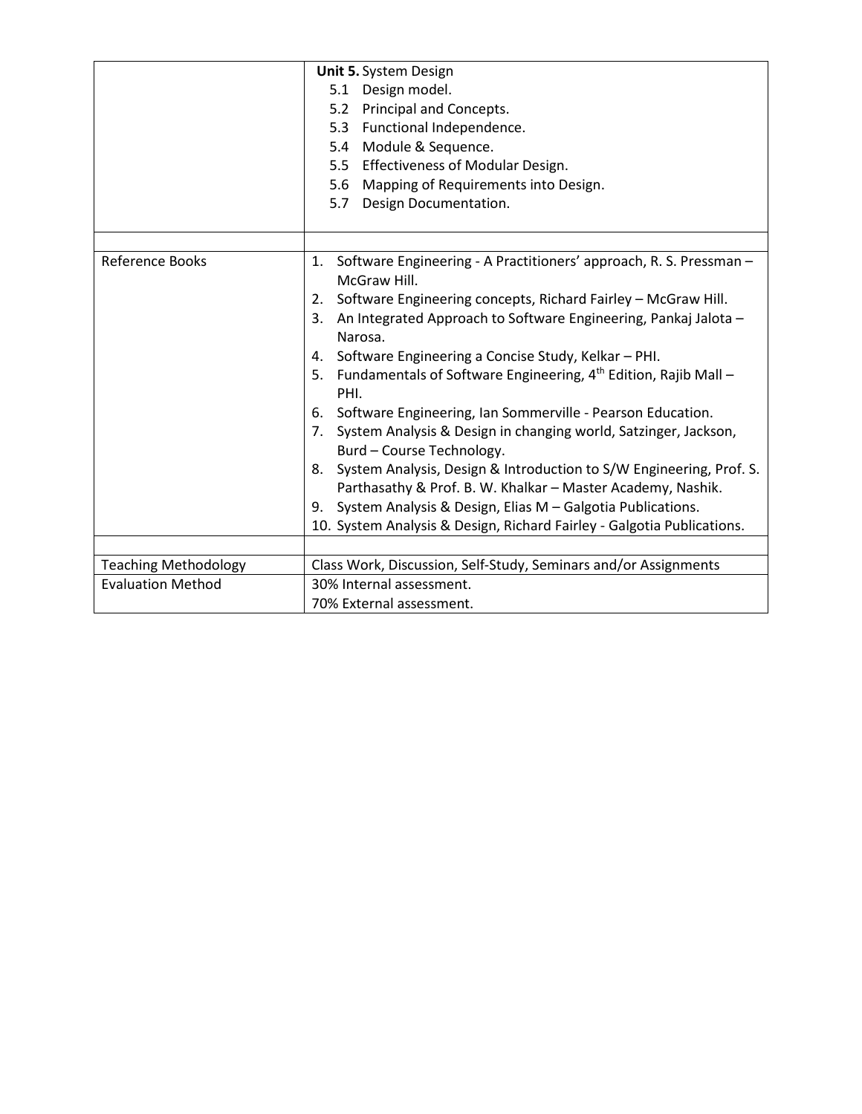|                             | Unit 5. System Design<br>5.1 Design model.<br>5.2 Principal and Concepts.<br>5.3 Functional Independence.<br>5.4 Module & Sequence.<br>5.5 Effectiveness of Modular Design.<br>5.6 Mapping of Requirements into Design.<br>Design Documentation.<br>5.7                                                                                                                                                                                                                                                                                                                                                                                                                                                                                                                                                                                                   |
|-----------------------------|-----------------------------------------------------------------------------------------------------------------------------------------------------------------------------------------------------------------------------------------------------------------------------------------------------------------------------------------------------------------------------------------------------------------------------------------------------------------------------------------------------------------------------------------------------------------------------------------------------------------------------------------------------------------------------------------------------------------------------------------------------------------------------------------------------------------------------------------------------------|
| Reference Books             | 1. Software Engineering - A Practitioners' approach, R. S. Pressman -<br>McGraw Hill.<br>Software Engineering concepts, Richard Fairley - McGraw Hill.<br>2.<br>3. An Integrated Approach to Software Engineering, Pankaj Jalota -<br>Narosa.<br>4. Software Engineering a Concise Study, Kelkar - PHI.<br>5. Fundamentals of Software Engineering, 4 <sup>th</sup> Edition, Rajib Mall -<br>PHI.<br>6. Software Engineering, Ian Sommerville - Pearson Education.<br>7. System Analysis & Design in changing world, Satzinger, Jackson,<br>Burd - Course Technology.<br>8. System Analysis, Design & Introduction to S/W Engineering, Prof. S.<br>Parthasathy & Prof. B. W. Khalkar - Master Academy, Nashik.<br>9. System Analysis & Design, Elias M - Galgotia Publications.<br>10. System Analysis & Design, Richard Fairley - Galgotia Publications. |
| <b>Teaching Methodology</b> | Class Work, Discussion, Self-Study, Seminars and/or Assignments                                                                                                                                                                                                                                                                                                                                                                                                                                                                                                                                                                                                                                                                                                                                                                                           |
| <b>Evaluation Method</b>    | 30% Internal assessment.<br>70% External assessment.                                                                                                                                                                                                                                                                                                                                                                                                                                                                                                                                                                                                                                                                                                                                                                                                      |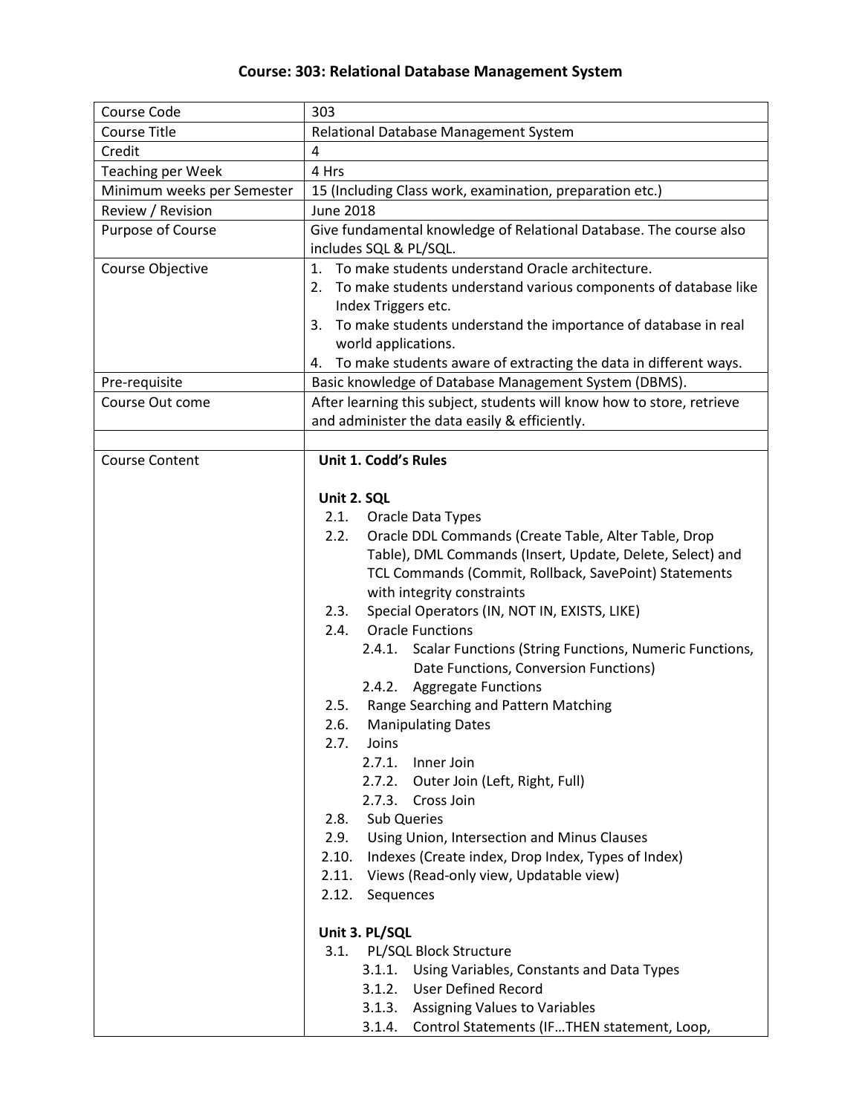## **Course: 303: Relational Database Management System**

| Course Code                | 303                                                                                                                                                                                                                                        |  |  |
|----------------------------|--------------------------------------------------------------------------------------------------------------------------------------------------------------------------------------------------------------------------------------------|--|--|
| <b>Course Title</b>        | Relational Database Management System                                                                                                                                                                                                      |  |  |
| Credit                     | 4                                                                                                                                                                                                                                          |  |  |
| <b>Teaching per Week</b>   | 4 Hrs                                                                                                                                                                                                                                      |  |  |
| Minimum weeks per Semester | 15 (Including Class work, examination, preparation etc.)                                                                                                                                                                                   |  |  |
| Review / Revision          | <b>June 2018</b>                                                                                                                                                                                                                           |  |  |
| Purpose of Course          | Give fundamental knowledge of Relational Database. The course also                                                                                                                                                                         |  |  |
|                            | includes SQL & PL/SQL.                                                                                                                                                                                                                     |  |  |
| Course Objective           | 1. To make students understand Oracle architecture.                                                                                                                                                                                        |  |  |
|                            | 2. To make students understand various components of database like                                                                                                                                                                         |  |  |
|                            | Index Triggers etc.                                                                                                                                                                                                                        |  |  |
|                            | To make students understand the importance of database in real<br>3.                                                                                                                                                                       |  |  |
|                            | world applications.                                                                                                                                                                                                                        |  |  |
|                            | To make students aware of extracting the data in different ways.<br>4.                                                                                                                                                                     |  |  |
| Pre-requisite              | Basic knowledge of Database Management System (DBMS).                                                                                                                                                                                      |  |  |
| Course Out come            | After learning this subject, students will know how to store, retrieve                                                                                                                                                                     |  |  |
|                            | and administer the data easily & efficiently.                                                                                                                                                                                              |  |  |
|                            |                                                                                                                                                                                                                                            |  |  |
| <b>Course Content</b>      | Unit 1. Codd's Rules                                                                                                                                                                                                                       |  |  |
|                            |                                                                                                                                                                                                                                            |  |  |
|                            | Unit 2. SQL                                                                                                                                                                                                                                |  |  |
|                            | 2.1.<br>Oracle Data Types<br>2.2.                                                                                                                                                                                                          |  |  |
|                            | Oracle DDL Commands (Create Table, Alter Table, Drop<br>Table), DML Commands (Insert, Update, Delete, Select) and                                                                                                                          |  |  |
|                            | TCL Commands (Commit, Rollback, SavePoint) Statements                                                                                                                                                                                      |  |  |
|                            | with integrity constraints                                                                                                                                                                                                                 |  |  |
|                            | Special Operators (IN, NOT IN, EXISTS, LIKE)<br>2.3.                                                                                                                                                                                       |  |  |
|                            | <b>Oracle Functions</b><br>2.4.                                                                                                                                                                                                            |  |  |
|                            | Scalar Functions (String Functions, Numeric Functions,<br>2.4.1.                                                                                                                                                                           |  |  |
|                            | Date Functions, Conversion Functions)                                                                                                                                                                                                      |  |  |
|                            | 2.4.2. Aggregate Functions                                                                                                                                                                                                                 |  |  |
|                            | Range Searching and Pattern Matching<br>2.5.                                                                                                                                                                                               |  |  |
|                            | 2.6.<br><b>Manipulating Dates</b>                                                                                                                                                                                                          |  |  |
|                            | Joins<br>2.7.                                                                                                                                                                                                                              |  |  |
|                            | 2.7.1.<br>Inner Join                                                                                                                                                                                                                       |  |  |
|                            | 2.7.2. Outer Join (Left, Right, Full)                                                                                                                                                                                                      |  |  |
|                            | 2.7.3. Cross Join                                                                                                                                                                                                                          |  |  |
|                            | <b>Sub Queries</b><br>2.8.                                                                                                                                                                                                                 |  |  |
|                            | Using Union, Intersection and Minus Clauses<br>2.9.                                                                                                                                                                                        |  |  |
|                            | 2.10.<br>Indexes (Create index, Drop Index, Types of Index)                                                                                                                                                                                |  |  |
|                            | 2.11. Views (Read-only view, Updatable view)                                                                                                                                                                                               |  |  |
|                            | 2.12. Sequences                                                                                                                                                                                                                            |  |  |
|                            |                                                                                                                                                                                                                                            |  |  |
|                            |                                                                                                                                                                                                                                            |  |  |
|                            |                                                                                                                                                                                                                                            |  |  |
|                            |                                                                                                                                                                                                                                            |  |  |
|                            |                                                                                                                                                                                                                                            |  |  |
|                            |                                                                                                                                                                                                                                            |  |  |
|                            | Unit 3. PL/SQL<br>3.1. PL/SQL Block Structure<br>3.1.1.<br>Using Variables, Constants and Data Types<br><b>User Defined Record</b><br>3.1.2.<br>3.1.3. Assigning Values to Variables<br>3.1.4. Control Statements (IFTHEN statement, Loop, |  |  |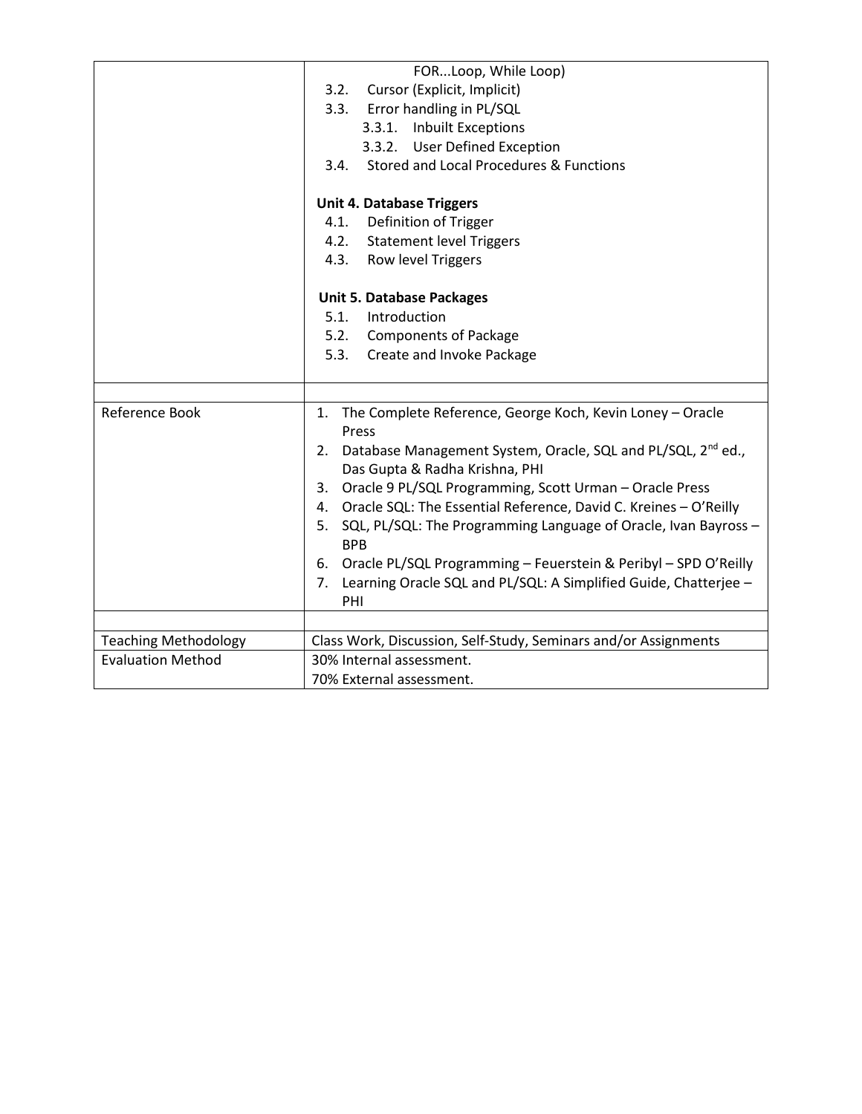|                             | FORLoop, While Loop)                                                                                          |
|-----------------------------|---------------------------------------------------------------------------------------------------------------|
|                             | 3.2.<br>Cursor (Explicit, Implicit)                                                                           |
|                             | Error handling in PL/SQL<br>3.3.                                                                              |
|                             | 3.3.1. Inbuilt Exceptions                                                                                     |
|                             | 3.3.2. User Defined Exception                                                                                 |
|                             | Stored and Local Procedures & Functions<br>3.4.                                                               |
|                             | <b>Unit 4. Database Triggers</b>                                                                              |
|                             | 4.1. Definition of Trigger                                                                                    |
|                             | 4.2. Statement level Triggers                                                                                 |
|                             | Row level Triggers<br>4.3.                                                                                    |
|                             | <b>Unit 5. Database Packages</b>                                                                              |
|                             | 5.1.<br>Introduction                                                                                          |
|                             | 5.2. Components of Package                                                                                    |
|                             | 5.3.<br>Create and Invoke Package                                                                             |
|                             |                                                                                                               |
|                             |                                                                                                               |
| Reference Book              | 1. The Complete Reference, George Koch, Kevin Loney - Oracle<br>Press                                         |
|                             | 2. Database Management System, Oracle, SQL and PL/SQL, 2 <sup>nd</sup> ed.,<br>Das Gupta & Radha Krishna, PHI |
|                             | 3. Oracle 9 PL/SQL Programming, Scott Urman - Oracle Press                                                    |
|                             | Oracle SQL: The Essential Reference, David C. Kreines - O'Reilly<br>4.                                        |
|                             | SQL, PL/SQL: The Programming Language of Oracle, Ivan Bayross -<br>5.<br><b>BPB</b>                           |
|                             | 6. Oracle PL/SQL Programming - Feuerstein & Peribyl - SPD O'Reilly                                            |
|                             | 7. Learning Oracle SQL and PL/SQL: A Simplified Guide, Chatterjee -                                           |
|                             | PHI                                                                                                           |
|                             |                                                                                                               |
| <b>Teaching Methodology</b> | Class Work, Discussion, Self-Study, Seminars and/or Assignments                                               |
| <b>Evaluation Method</b>    | 30% Internal assessment.                                                                                      |
|                             | 70% External assessment.                                                                                      |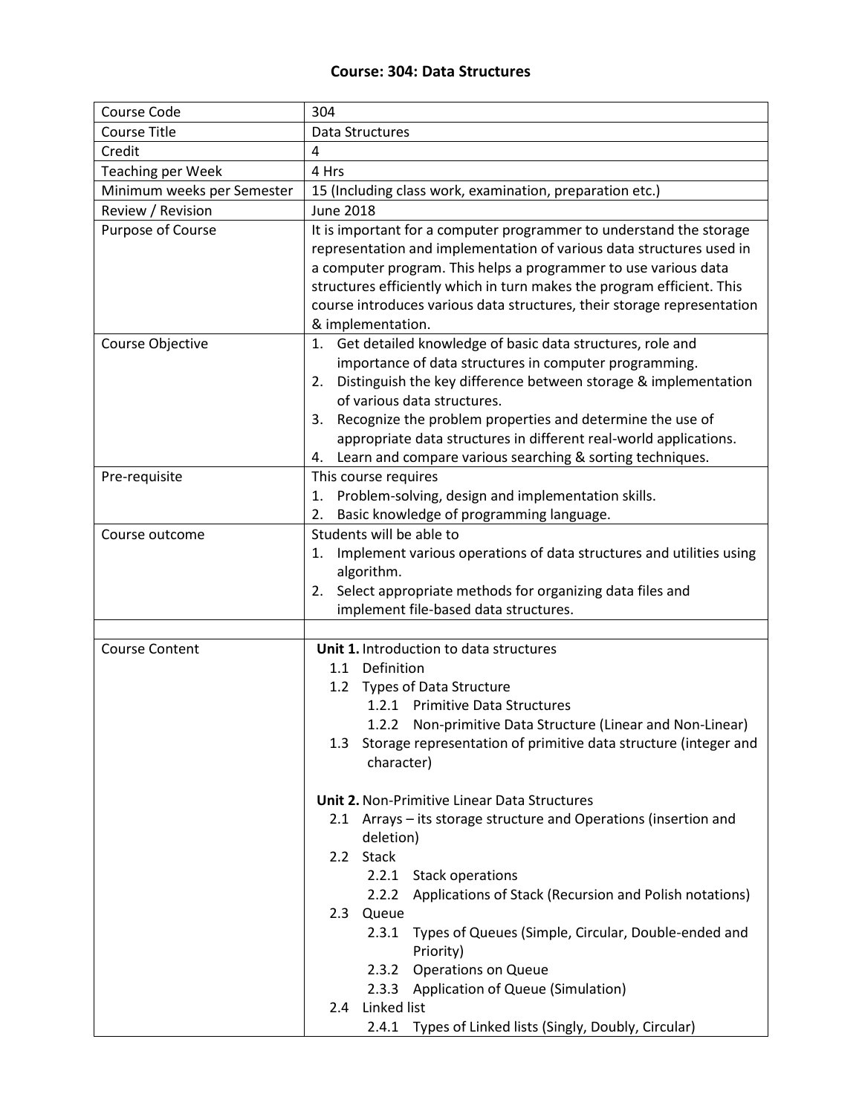#### **Course: 304: Data Structures**

| Course Code                | 304                                                                                                                               |
|----------------------------|-----------------------------------------------------------------------------------------------------------------------------------|
| <b>Course Title</b>        | Data Structures                                                                                                                   |
| Credit                     | 4                                                                                                                                 |
| <b>Teaching per Week</b>   | 4 Hrs                                                                                                                             |
| Minimum weeks per Semester | 15 (Including class work, examination, preparation etc.)                                                                          |
| Review / Revision          | <b>June 2018</b>                                                                                                                  |
| Purpose of Course          | It is important for a computer programmer to understand the storage                                                               |
|                            | representation and implementation of various data structures used in                                                              |
|                            | a computer program. This helps a programmer to use various data                                                                   |
|                            | structures efficiently which in turn makes the program efficient. This                                                            |
|                            | course introduces various data structures, their storage representation                                                           |
|                            | & implementation.                                                                                                                 |
| Course Objective           | 1. Get detailed knowledge of basic data structures, role and                                                                      |
|                            | importance of data structures in computer programming.                                                                            |
|                            | Distinguish the key difference between storage & implementation<br>2.                                                             |
|                            | of various data structures.                                                                                                       |
|                            | 3. Recognize the problem properties and determine the use of<br>appropriate data structures in different real-world applications. |
|                            | 4. Learn and compare various searching & sorting techniques.                                                                      |
| Pre-requisite              | This course requires                                                                                                              |
|                            | Problem-solving, design and implementation skills.<br>1.                                                                          |
|                            | 2. Basic knowledge of programming language.                                                                                       |
| Course outcome             | Students will be able to                                                                                                          |
|                            | Implement various operations of data structures and utilities using<br>1.                                                         |
|                            | algorithm.                                                                                                                        |
|                            | 2. Select appropriate methods for organizing data files and                                                                       |
|                            | implement file-based data structures.                                                                                             |
|                            |                                                                                                                                   |
| <b>Course Content</b>      | Unit 1. Introduction to data structures                                                                                           |
|                            | 1.1 Definition                                                                                                                    |
|                            | 1.2 Types of Data Structure                                                                                                       |
|                            | 1.2.1 Primitive Data Structures                                                                                                   |
|                            | 1.2.2 Non-primitive Data Structure (Linear and Non-Linear)                                                                        |
|                            | 1.3 Storage representation of primitive data structure (integer and                                                               |
|                            | character)                                                                                                                        |
|                            | <b>Unit 2. Non-Primitive Linear Data Structures</b>                                                                               |
|                            | 2.1 Arrays - its storage structure and Operations (insertion and                                                                  |
|                            | deletion)                                                                                                                         |
|                            | 2.2 Stack                                                                                                                         |
|                            | 2.2.1 Stack operations                                                                                                            |
|                            | Applications of Stack (Recursion and Polish notations)<br>2.2.2                                                                   |
|                            | 2.3 Queue                                                                                                                         |
|                            | Types of Queues (Simple, Circular, Double-ended and<br>2.3.1                                                                      |
|                            | Priority)                                                                                                                         |
|                            | 2.3.2<br><b>Operations on Queue</b>                                                                                               |
|                            | 2.3.3 Application of Queue (Simulation)                                                                                           |
|                            | Linked list<br>2.4                                                                                                                |
|                            | Types of Linked lists (Singly, Doubly, Circular)<br>2.4.1                                                                         |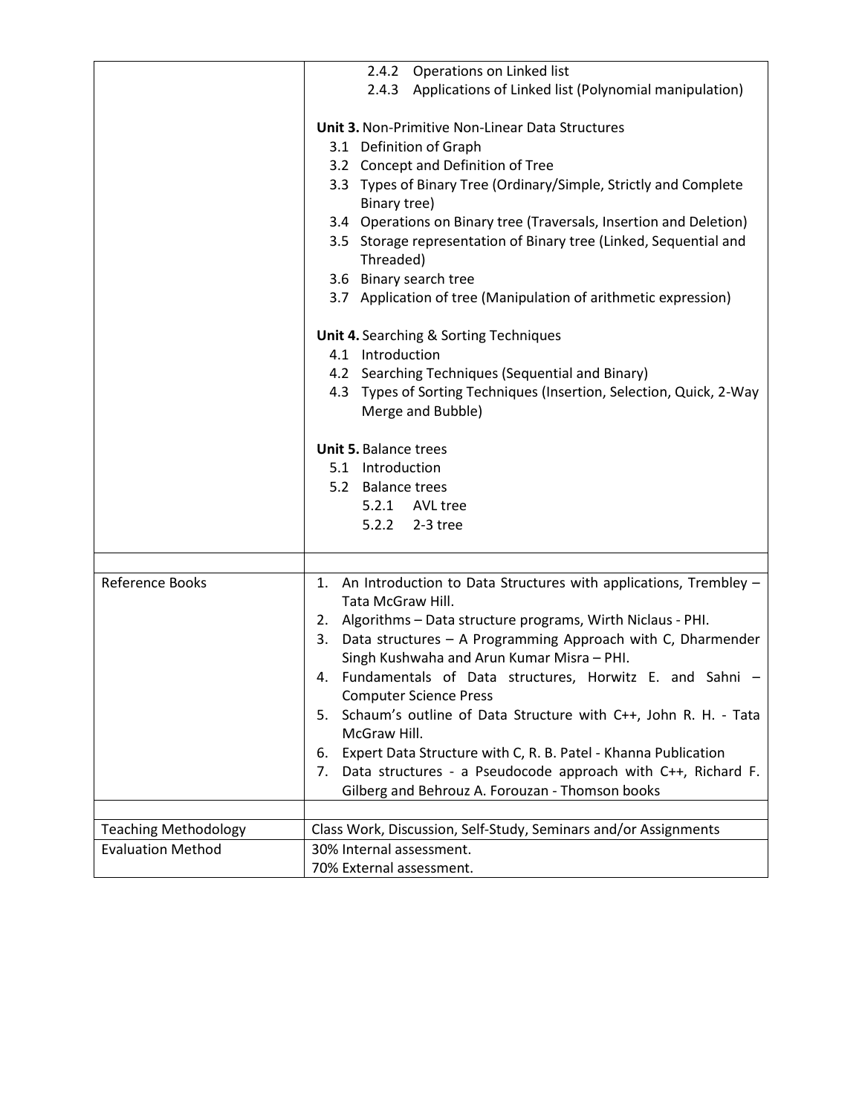|                             | 2.4.2 Operations on Linked list                                                             |
|-----------------------------|---------------------------------------------------------------------------------------------|
|                             | 2.4.3 Applications of Linked list (Polynomial manipulation)                                 |
|                             |                                                                                             |
|                             | <b>Unit 3. Non-Primitive Non-Linear Data Structures</b>                                     |
|                             | 3.1 Definition of Graph                                                                     |
|                             | 3.2 Concept and Definition of Tree                                                          |
|                             | 3.3 Types of Binary Tree (Ordinary/Simple, Strictly and Complete<br>Binary tree)            |
|                             | 3.4 Operations on Binary tree (Traversals, Insertion and Deletion)                          |
|                             | 3.5 Storage representation of Binary tree (Linked, Sequential and<br>Threaded)              |
|                             | 3.6 Binary search tree                                                                      |
|                             | 3.7 Application of tree (Manipulation of arithmetic expression)                             |
|                             |                                                                                             |
|                             | Unit 4. Searching & Sorting Techniques                                                      |
|                             | 4.1 Introduction                                                                            |
|                             | Searching Techniques (Sequential and Binary)<br>4.2                                         |
|                             | Types of Sorting Techniques (Insertion, Selection, Quick, 2-Way<br>4.3                      |
|                             | Merge and Bubble)                                                                           |
|                             | Unit 5. Balance trees                                                                       |
|                             | 5.1 Introduction                                                                            |
|                             | 5.2 Balance trees                                                                           |
|                             | 5.2.1 AVL tree                                                                              |
|                             | 5.2.2<br>2-3 tree                                                                           |
|                             |                                                                                             |
|                             |                                                                                             |
| Reference Books             | 1. An Introduction to Data Structures with applications, Trembley -<br>Tata McGraw Hill.    |
|                             | 2. Algorithms - Data structure programs, Wirth Niclaus - PHI.                               |
|                             | 3. Data structures - A Programming Approach with C, Dharmender                              |
|                             | Singh Kushwaha and Arun Kumar Misra - PHI.                                                  |
|                             | 4. Fundamentals of Data structures, Horwitz E. and Sahni -<br><b>Computer Science Press</b> |
|                             | 5. Schaum's outline of Data Structure with C++, John R. H. - Tata                           |
|                             | McGraw Hill.                                                                                |
|                             | Expert Data Structure with C, R. B. Patel - Khanna Publication<br>6.                        |
|                             | Data structures - a Pseudocode approach with C++, Richard F.<br>7.                          |
|                             | Gilberg and Behrouz A. Forouzan - Thomson books                                             |
|                             |                                                                                             |
| <b>Teaching Methodology</b> | Class Work, Discussion, Self-Study, Seminars and/or Assignments                             |
| <b>Evaluation Method</b>    | 30% Internal assessment.                                                                    |
|                             | 70% External assessment.                                                                    |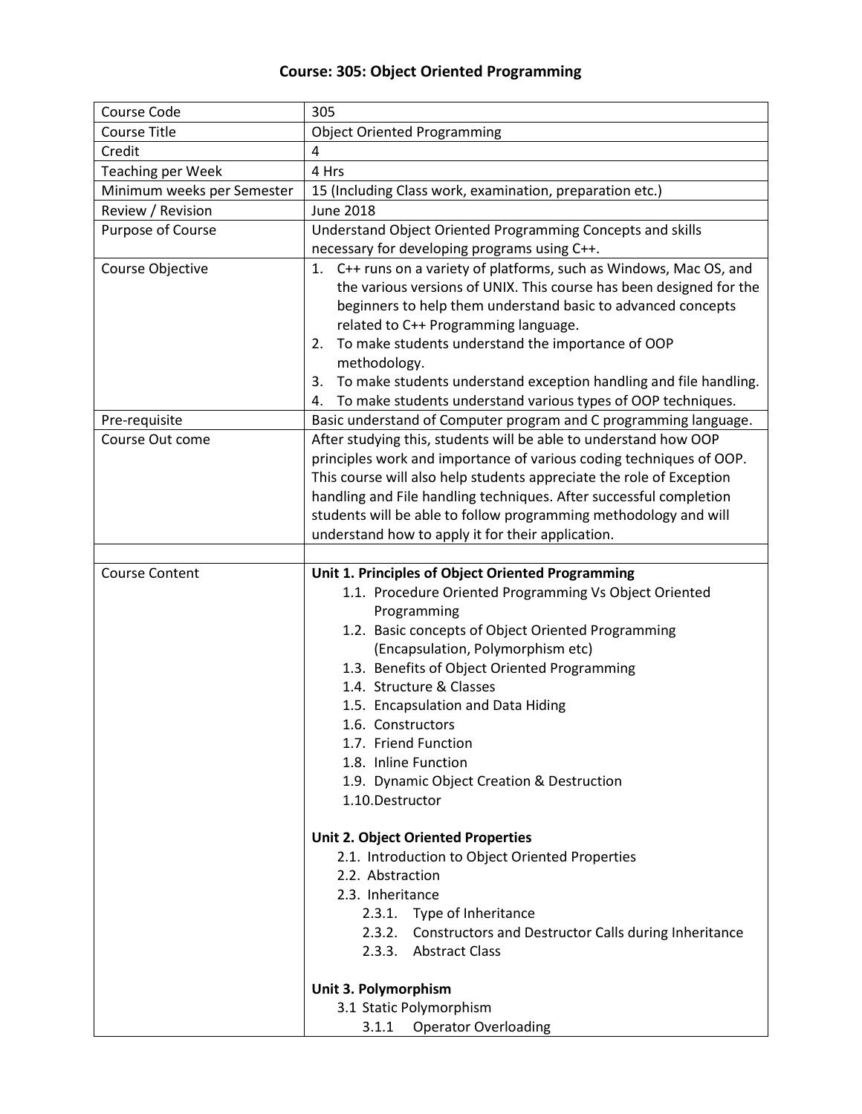## **Course: 305: Object Oriented Programming**

| Course Code                | 305                                                                                                                                                                                                                                                                                                                                                                                                                                                                            |
|----------------------------|--------------------------------------------------------------------------------------------------------------------------------------------------------------------------------------------------------------------------------------------------------------------------------------------------------------------------------------------------------------------------------------------------------------------------------------------------------------------------------|
| <b>Course Title</b>        | <b>Object Oriented Programming</b>                                                                                                                                                                                                                                                                                                                                                                                                                                             |
| Credit                     | 4                                                                                                                                                                                                                                                                                                                                                                                                                                                                              |
| <b>Teaching per Week</b>   | 4 Hrs                                                                                                                                                                                                                                                                                                                                                                                                                                                                          |
| Minimum weeks per Semester | 15 (Including Class work, examination, preparation etc.)                                                                                                                                                                                                                                                                                                                                                                                                                       |
| Review / Revision          | <b>June 2018</b>                                                                                                                                                                                                                                                                                                                                                                                                                                                               |
| Purpose of Course          | Understand Object Oriented Programming Concepts and skills                                                                                                                                                                                                                                                                                                                                                                                                                     |
|                            | necessary for developing programs using C++.                                                                                                                                                                                                                                                                                                                                                                                                                                   |
| Course Objective           | 1. C++ runs on a variety of platforms, such as Windows, Mac OS, and<br>the various versions of UNIX. This course has been designed for the<br>beginners to help them understand basic to advanced concepts<br>related to C++ Programming language.<br>To make students understand the importance of OOP<br>2.<br>methodology.<br>To make students understand exception handling and file handling.<br>3.<br>To make students understand various types of OOP techniques.<br>4. |
| Pre-requisite              | Basic understand of Computer program and C programming language.                                                                                                                                                                                                                                                                                                                                                                                                               |
| Course Out come            | After studying this, students will be able to understand how OOP<br>principles work and importance of various coding techniques of OOP.<br>This course will also help students appreciate the role of Exception<br>handling and File handling techniques. After successful completion<br>students will be able to follow programming methodology and will<br>understand how to apply it for their application.                                                                 |
|                            |                                                                                                                                                                                                                                                                                                                                                                                                                                                                                |
| <b>Course Content</b>      | Unit 1. Principles of Object Oriented Programming<br>1.1. Procedure Oriented Programming Vs Object Oriented<br>Programming<br>1.2. Basic concepts of Object Oriented Programming<br>(Encapsulation, Polymorphism etc)<br>1.3. Benefits of Object Oriented Programming<br>1.4. Structure & Classes<br>1.5. Encapsulation and Data Hiding<br>1.6. Constructors<br>1.7. Friend Function<br>1.8. Inline Function<br>1.9. Dynamic Object Creation & Destruction<br>1.10.Destructor  |
|                            | <b>Unit 2. Object Oriented Properties</b><br>2.1. Introduction to Object Oriented Properties                                                                                                                                                                                                                                                                                                                                                                                   |
|                            | 2.2. Abstraction                                                                                                                                                                                                                                                                                                                                                                                                                                                               |
|                            | 2.3. Inheritance                                                                                                                                                                                                                                                                                                                                                                                                                                                               |
|                            | 2.3.1. Type of Inheritance<br>2.3.2. Constructors and Destructor Calls during Inheritance<br>2.3.3. Abstract Class                                                                                                                                                                                                                                                                                                                                                             |
|                            | Unit 3. Polymorphism                                                                                                                                                                                                                                                                                                                                                                                                                                                           |
|                            | 3.1 Static Polymorphism                                                                                                                                                                                                                                                                                                                                                                                                                                                        |
|                            | <b>Operator Overloading</b><br>3.1.1                                                                                                                                                                                                                                                                                                                                                                                                                                           |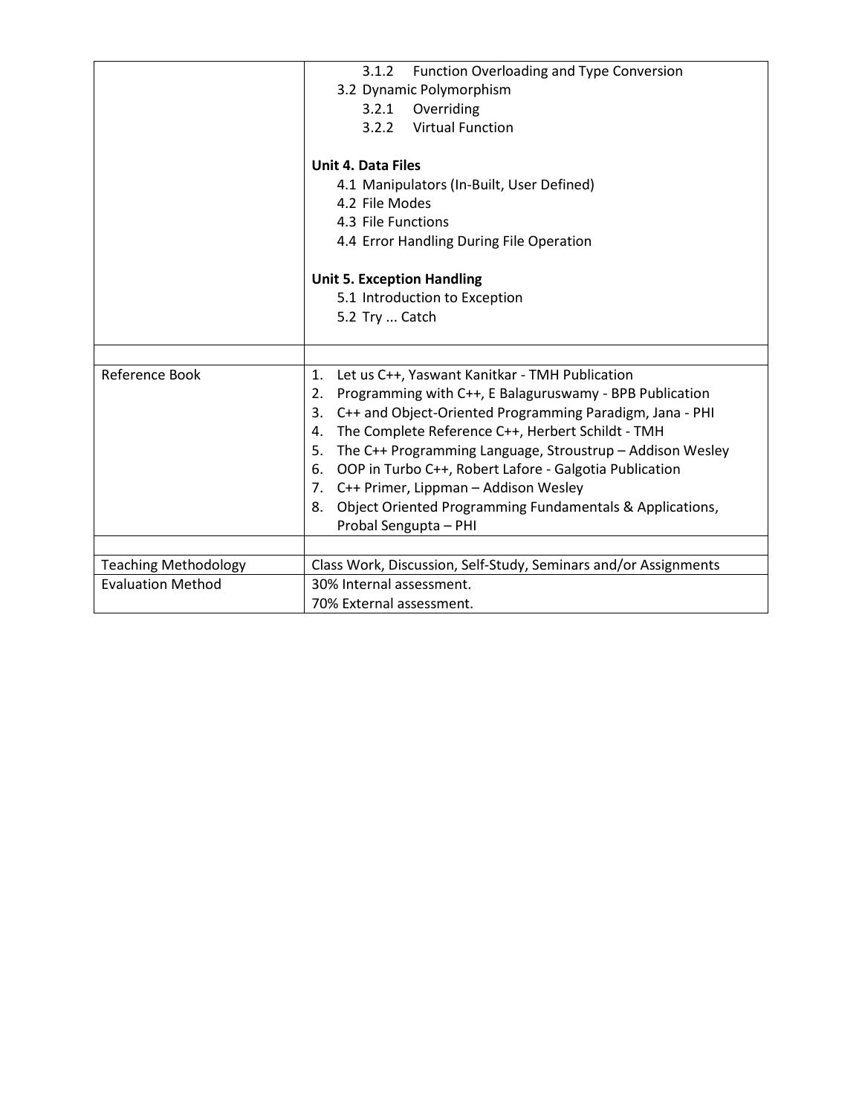|                             | Function Overloading and Type Conversion<br>3.1.2<br>3.2 Dynamic Polymorphism                                   |
|-----------------------------|-----------------------------------------------------------------------------------------------------------------|
|                             | Overriding<br>3.2.1                                                                                             |
|                             | <b>Virtual Function</b><br>3.2.2                                                                                |
|                             |                                                                                                                 |
|                             | <b>Unit 4. Data Files</b>                                                                                       |
|                             | 4.1 Manipulators (In-Built, User Defined)                                                                       |
|                             | 4.2 File Modes                                                                                                  |
|                             | 4.3 File Functions                                                                                              |
|                             | 4.4 Error Handling During File Operation                                                                        |
|                             |                                                                                                                 |
|                             | <b>Unit 5. Exception Handling</b>                                                                               |
|                             | 5.1 Introduction to Exception                                                                                   |
|                             | 5.2 Try  Catch                                                                                                  |
|                             |                                                                                                                 |
| Reference Book              | $\mathbf{1}$ .                                                                                                  |
|                             | Let us C++, Yaswant Kanitkar - TMH Publication<br>Programming with C++, E Balaguruswamy - BPB Publication<br>2. |
|                             | C++ and Object-Oriented Programming Paradigm, Jana - PHI<br>3.                                                  |
|                             | The Complete Reference C++, Herbert Schildt - TMH<br>4.                                                         |
|                             | The C++ Programming Language, Stroustrup - Addison Wesley<br>5.                                                 |
|                             | OOP in Turbo C++, Robert Lafore - Galgotia Publication<br>6.                                                    |
|                             | 7. C++ Primer, Lippman - Addison Wesley                                                                         |
|                             | Object Oriented Programming Fundamentals & Applications,<br>8.                                                  |
|                             | Probal Sengupta - PHI                                                                                           |
|                             |                                                                                                                 |
| <b>Teaching Methodology</b> | Class Work, Discussion, Self-Study, Seminars and/or Assignments                                                 |
| <b>Evaluation Method</b>    | 30% Internal assessment.                                                                                        |
|                             | 70% External assessment.                                                                                        |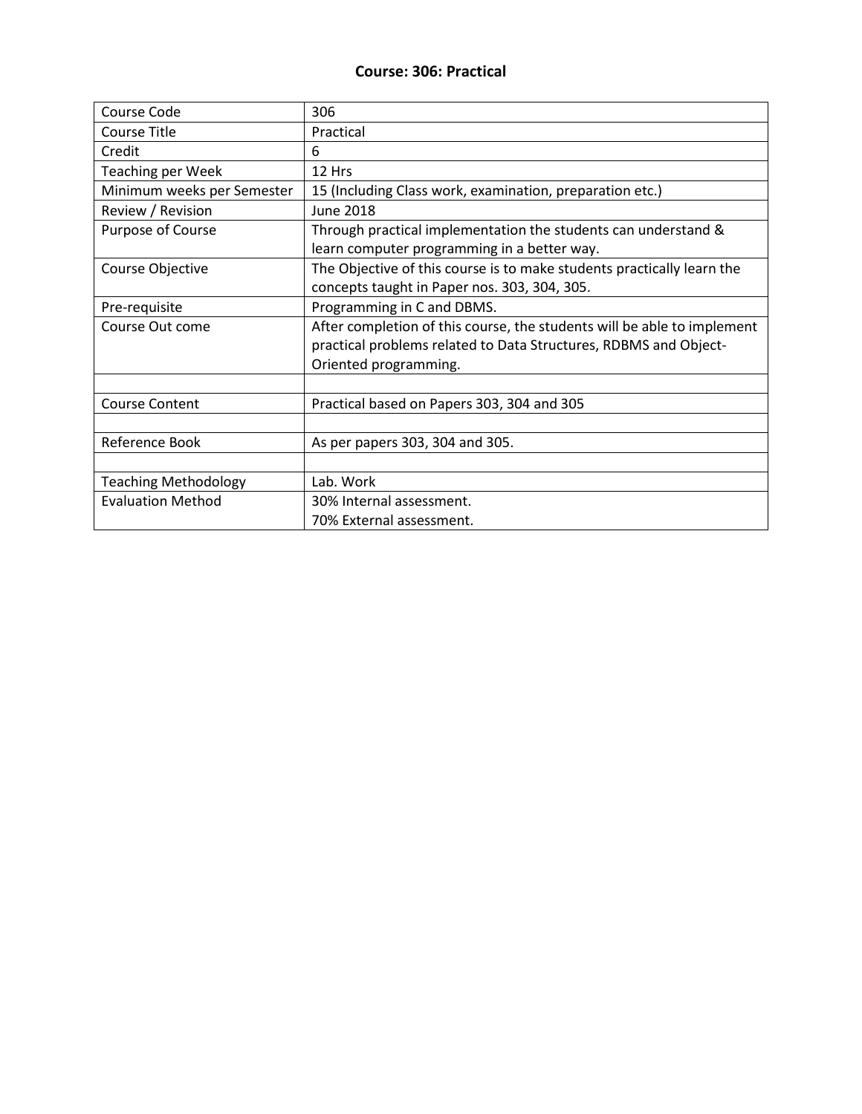#### **Course: 306: Practical**

| Course Code                 | 306                                                                     |
|-----------------------------|-------------------------------------------------------------------------|
| <b>Course Title</b>         | Practical                                                               |
| Credit                      | 6                                                                       |
| <b>Teaching per Week</b>    | 12 Hrs                                                                  |
| Minimum weeks per Semester  | 15 (Including Class work, examination, preparation etc.)                |
| Review / Revision           | <b>June 2018</b>                                                        |
| Purpose of Course           | Through practical implementation the students can understand &          |
|                             | learn computer programming in a better way.                             |
| Course Objective            | The Objective of this course is to make students practically learn the  |
|                             | concepts taught in Paper nos. 303, 304, 305.                            |
| Pre-requisite               | Programming in C and DBMS.                                              |
| Course Out come             | After completion of this course, the students will be able to implement |
|                             | practical problems related to Data Structures, RDBMS and Object-        |
|                             | Oriented programming.                                                   |
|                             |                                                                         |
| <b>Course Content</b>       | Practical based on Papers 303, 304 and 305                              |
|                             |                                                                         |
| Reference Book              | As per papers 303, 304 and 305.                                         |
|                             |                                                                         |
| <b>Teaching Methodology</b> | Lab. Work                                                               |
| <b>Evaluation Method</b>    | 30% Internal assessment.                                                |
|                             | 70% External assessment.                                                |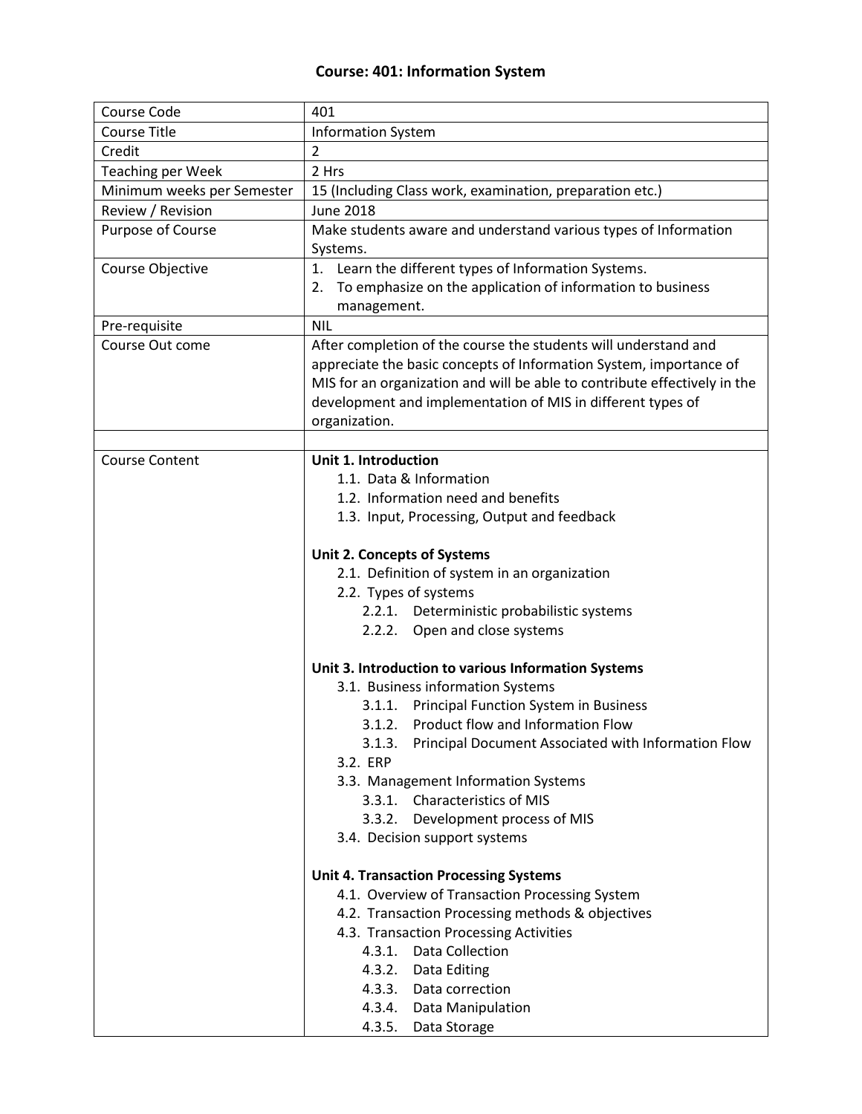## **Course: 401: Information System**

| Course Code                | 401                                                                       |
|----------------------------|---------------------------------------------------------------------------|
| <b>Course Title</b>        | <b>Information System</b>                                                 |
| Credit                     | $\overline{2}$                                                            |
| <b>Teaching per Week</b>   | 2 Hrs                                                                     |
| Minimum weeks per Semester | 15 (Including Class work, examination, preparation etc.)                  |
| Review / Revision          | <b>June 2018</b>                                                          |
| Purpose of Course          | Make students aware and understand various types of Information           |
|                            | Systems.                                                                  |
| Course Objective           | 1. Learn the different types of Information Systems.                      |
|                            | 2. To emphasize on the application of information to business             |
|                            | management.                                                               |
| Pre-requisite              | <b>NIL</b>                                                                |
| Course Out come            | After completion of the course the students will understand and           |
|                            | appreciate the basic concepts of Information System, importance of        |
|                            | MIS for an organization and will be able to contribute effectively in the |
|                            | development and implementation of MIS in different types of               |
|                            | organization.                                                             |
|                            |                                                                           |
| <b>Course Content</b>      | <b>Unit 1. Introduction</b>                                               |
|                            | 1.1. Data & Information                                                   |
|                            | 1.2. Information need and benefits                                        |
|                            | 1.3. Input, Processing, Output and feedback                               |
|                            |                                                                           |
|                            | <b>Unit 2. Concepts of Systems</b>                                        |
|                            | 2.1. Definition of system in an organization                              |
|                            | 2.2. Types of systems                                                     |
|                            | 2.2.1. Deterministic probabilistic systems                                |
|                            | 2.2.2. Open and close systems                                             |
|                            |                                                                           |
|                            | Unit 3. Introduction to various Information Systems                       |
|                            | 3.1. Business information Systems                                         |
|                            | <b>Principal Function System in Business</b><br>3.1.1.                    |
|                            | Product flow and Information Flow<br>3.1.2.                               |
|                            | Principal Document Associated with Information Flow<br>3.1.3.             |
|                            | 3.2. ERP                                                                  |
|                            | 3.3. Management Information Systems                                       |
|                            | 3.3.1. Characteristics of MIS                                             |
|                            | 3.3.2.<br>Development process of MIS                                      |
|                            | 3.4. Decision support systems                                             |
|                            |                                                                           |
|                            | <b>Unit 4. Transaction Processing Systems</b>                             |
|                            | 4.1. Overview of Transaction Processing System                            |
|                            | 4.2. Transaction Processing methods & objectives                          |
|                            | 4.3. Transaction Processing Activities                                    |
|                            | 4.3.1. Data Collection                                                    |
|                            | 4.3.2.<br>Data Editing                                                    |
|                            | 4.3.3.<br>Data correction                                                 |
|                            | 4.3.4.<br>Data Manipulation                                               |
|                            | 4.3.5.<br>Data Storage                                                    |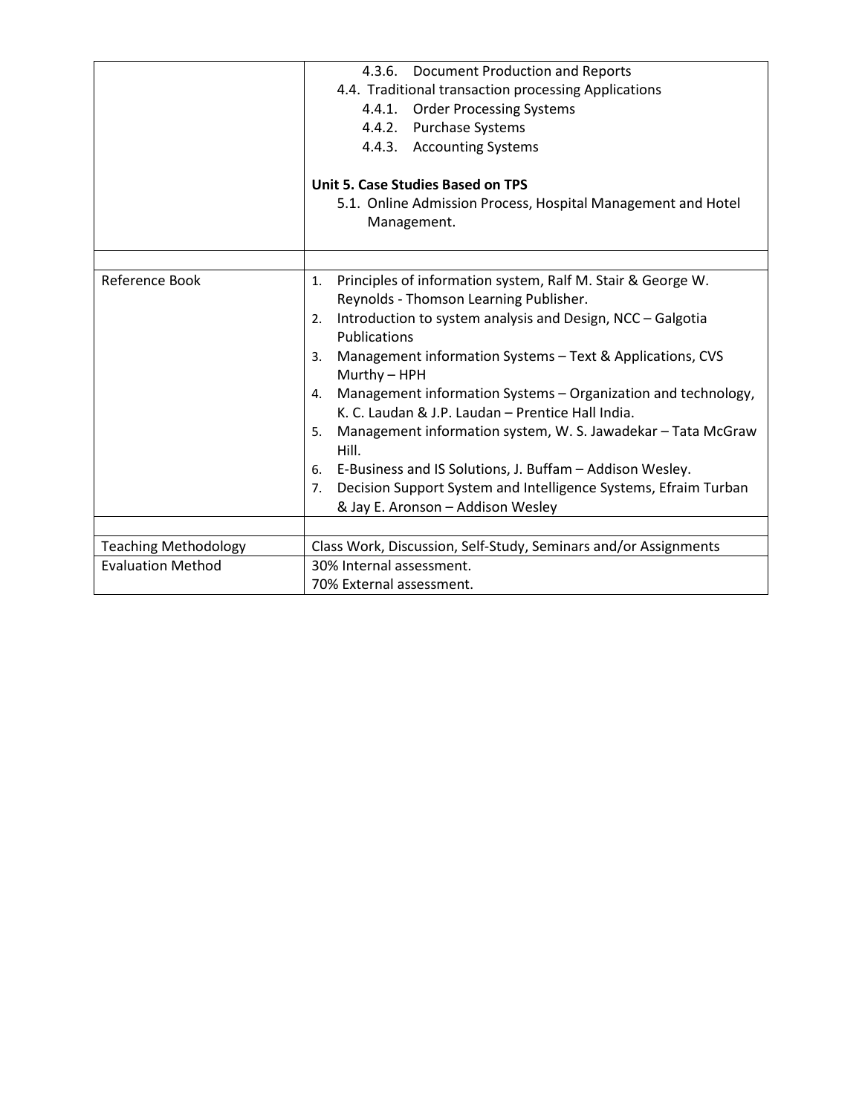|                             | 4.3.6. Document Production and Reports                                |
|-----------------------------|-----------------------------------------------------------------------|
|                             | 4.4. Traditional transaction processing Applications                  |
|                             | 4.4.1. Order Processing Systems                                       |
|                             | 4.4.2. Purchase Systems                                               |
|                             | 4.4.3. Accounting Systems                                             |
|                             |                                                                       |
|                             | <b>Unit 5. Case Studies Based on TPS</b>                              |
|                             | 5.1. Online Admission Process, Hospital Management and Hotel          |
|                             | Management.                                                           |
|                             |                                                                       |
|                             |                                                                       |
| Reference Book              | Principles of information system, Ralf M. Stair & George W.<br>1.     |
|                             | Reynolds - Thomson Learning Publisher.                                |
|                             | Introduction to system analysis and Design, NCC - Galgotia<br>2.      |
|                             | <b>Publications</b>                                                   |
|                             | Management information Systems - Text & Applications, CVS<br>3.       |
|                             | Murthy - HPH                                                          |
|                             | Management information Systems - Organization and technology,<br>4.   |
|                             | K. C. Laudan & J.P. Laudan - Prentice Hall India.                     |
|                             | Management information system, W. S. Jawadekar - Tata McGraw<br>5.    |
|                             | Hill.                                                                 |
|                             | 6. E-Business and IS Solutions, J. Buffam - Addison Wesley.           |
|                             | Decision Support System and Intelligence Systems, Efraim Turban<br>7. |
|                             | & Jay E. Aronson - Addison Wesley                                     |
|                             |                                                                       |
| <b>Teaching Methodology</b> | Class Work, Discussion, Self-Study, Seminars and/or Assignments       |
| <b>Evaluation Method</b>    | 30% Internal assessment.                                              |
|                             | 70% External assessment.                                              |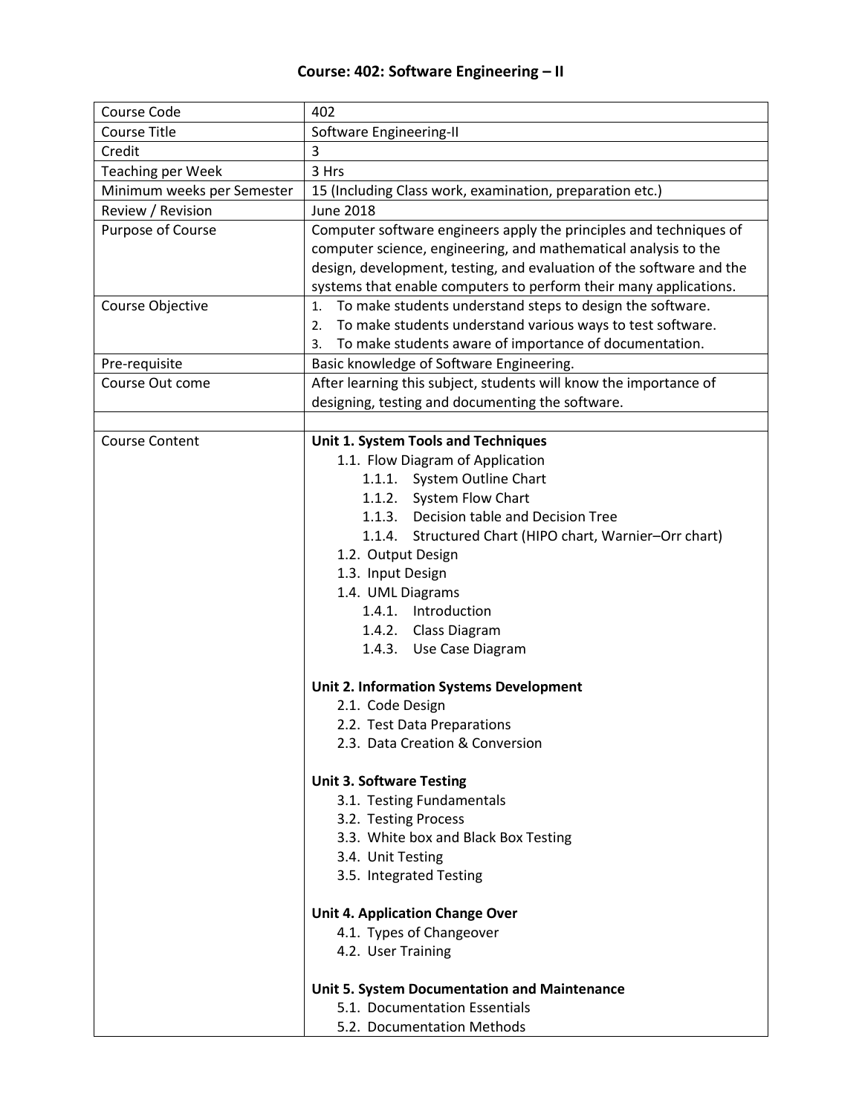## **Course: 402: Software Engineering – II**

| Course Code                | 402                                                                  |
|----------------------------|----------------------------------------------------------------------|
| <b>Course Title</b>        | Software Engineering-II                                              |
| Credit                     | 3                                                                    |
| <b>Teaching per Week</b>   | 3 Hrs                                                                |
| Minimum weeks per Semester | 15 (Including Class work, examination, preparation etc.)             |
| Review / Revision          | <b>June 2018</b>                                                     |
| Purpose of Course          | Computer software engineers apply the principles and techniques of   |
|                            | computer science, engineering, and mathematical analysis to the      |
|                            | design, development, testing, and evaluation of the software and the |
|                            | systems that enable computers to perform their many applications.    |
| Course Objective           | To make students understand steps to design the software.<br>1.      |
|                            | To make students understand various ways to test software.<br>2.     |
|                            | To make students aware of importance of documentation.<br>3.         |
| Pre-requisite              | Basic knowledge of Software Engineering.                             |
| Course Out come            | After learning this subject, students will know the importance of    |
|                            | designing, testing and documenting the software.                     |
|                            |                                                                      |
| <b>Course Content</b>      | Unit 1. System Tools and Techniques                                  |
|                            | 1.1. Flow Diagram of Application                                     |
|                            | 1.1.1. System Outline Chart                                          |
|                            | 1.1.2. System Flow Chart                                             |
|                            | Decision table and Decision Tree<br>1.1.3.                           |
|                            | 1.1.4.<br>Structured Chart (HIPO chart, Warnier-Orr chart)           |
|                            | 1.2. Output Design                                                   |
|                            | 1.3. Input Design                                                    |
|                            | 1.4. UML Diagrams                                                    |
|                            | Introduction<br>1.4.1.                                               |
|                            | 1.4.2. Class Diagram                                                 |
|                            | 1.4.3. Use Case Diagram                                              |
|                            | <b>Unit 2. Information Systems Development</b>                       |
|                            | 2.1. Code Design                                                     |
|                            | 2.2. Test Data Preparations                                          |
|                            | 2.3. Data Creation & Conversion                                      |
|                            |                                                                      |
|                            | <b>Unit 3. Software Testing</b>                                      |
|                            | 3.1. Testing Fundamentals                                            |
|                            | 3.2. Testing Process                                                 |
|                            | 3.3. White box and Black Box Testing                                 |
|                            | 3.4. Unit Testing                                                    |
|                            | 3.5. Integrated Testing                                              |
|                            |                                                                      |
|                            | <b>Unit 4. Application Change Over</b>                               |
|                            | 4.1. Types of Changeover                                             |
|                            | 4.2. User Training                                                   |
|                            | Unit 5. System Documentation and Maintenance                         |
|                            | 5.1. Documentation Essentials                                        |
|                            | 5.2. Documentation Methods                                           |
|                            |                                                                      |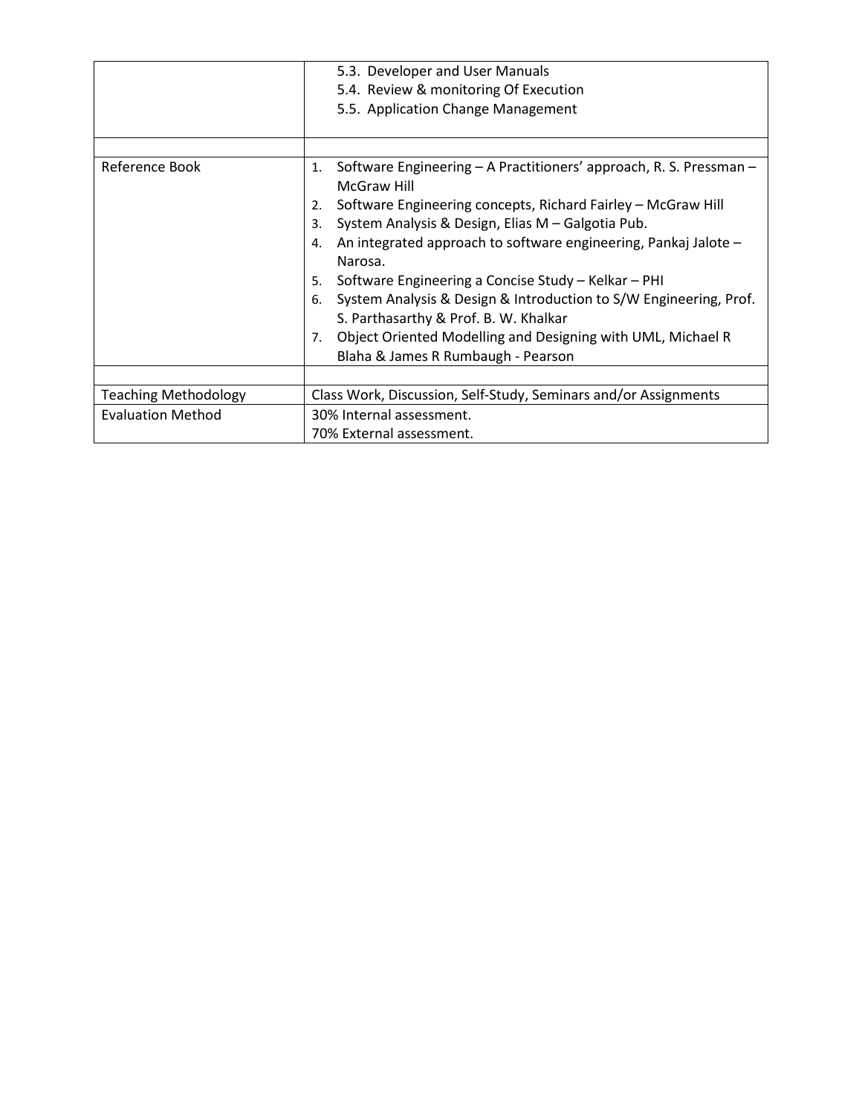|                             | 5.3. Developer and User Manuals<br>5.4. Review & monitoring Of Execution<br>5.5. Application Change Management                                                                                                                                                                                                                                                                                                                                                                                                               |
|-----------------------------|------------------------------------------------------------------------------------------------------------------------------------------------------------------------------------------------------------------------------------------------------------------------------------------------------------------------------------------------------------------------------------------------------------------------------------------------------------------------------------------------------------------------------|
| Reference Book              | Software Engineering - A Practitioners' approach, R. S. Pressman -<br>1.                                                                                                                                                                                                                                                                                                                                                                                                                                                     |
|                             | McGraw Hill<br>Software Engineering concepts, Richard Fairley - McGraw Hill<br>2.<br>System Analysis & Design, Elias M - Galgotia Pub.<br>3.<br>An integrated approach to software engineering, Pankaj Jalote -<br>4.<br>Narosa.<br>Software Engineering a Concise Study - Kelkar - PHI<br>5.<br>System Analysis & Design & Introduction to S/W Engineering, Prof.<br>6.<br>S. Parthasarthy & Prof. B. W. Khalkar<br>Object Oriented Modelling and Designing with UML, Michael R<br>7.<br>Blaha & James R Rumbaugh - Pearson |
| <b>Teaching Methodology</b> | Class Work, Discussion, Self-Study, Seminars and/or Assignments                                                                                                                                                                                                                                                                                                                                                                                                                                                              |
| <b>Evaluation Method</b>    | 30% Internal assessment.<br>70% External assessment.                                                                                                                                                                                                                                                                                                                                                                                                                                                                         |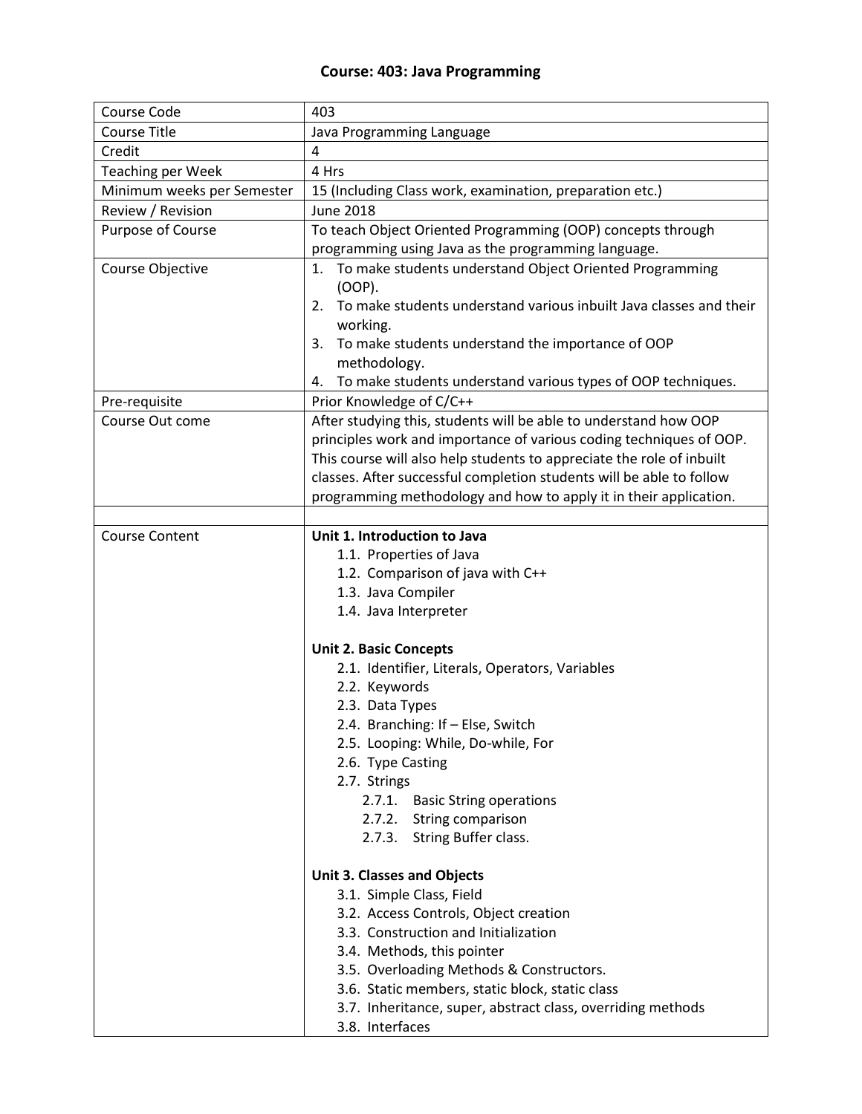## **Course: 403: Java Programming**

| Course Code                | 403                                                                                  |
|----------------------------|--------------------------------------------------------------------------------------|
| <b>Course Title</b>        | Java Programming Language                                                            |
| Credit                     | 4                                                                                    |
| <b>Teaching per Week</b>   | 4 Hrs                                                                                |
| Minimum weeks per Semester | 15 (Including Class work, examination, preparation etc.)                             |
| Review / Revision          | <b>June 2018</b>                                                                     |
| Purpose of Course          | To teach Object Oriented Programming (OOP) concepts through                          |
|                            | programming using Java as the programming language.                                  |
| Course Objective           | 1. To make students understand Object Oriented Programming<br>(OOP).                 |
|                            | To make students understand various inbuilt Java classes and their<br>2.<br>working. |
|                            | 3. To make students understand the importance of OOP<br>methodology.                 |
|                            | To make students understand various types of OOP techniques.<br>4.                   |
| Pre-requisite              | Prior Knowledge of C/C++                                                             |
| Course Out come            | After studying this, students will be able to understand how OOP                     |
|                            | principles work and importance of various coding techniques of OOP.                  |
|                            | This course will also help students to appreciate the role of inbuilt                |
|                            | classes. After successful completion students will be able to follow                 |
|                            | programming methodology and how to apply it in their application.                    |
|                            |                                                                                      |
| <b>Course Content</b>      | Unit 1. Introduction to Java                                                         |
|                            | 1.1. Properties of Java                                                              |
|                            | 1.2. Comparison of java with C++                                                     |
|                            | 1.3. Java Compiler                                                                   |
|                            | 1.4. Java Interpreter                                                                |
|                            |                                                                                      |
|                            | <b>Unit 2. Basic Concepts</b>                                                        |
|                            | 2.1. Identifier, Literals, Operators, Variables<br>2.2. Keywords                     |
|                            | 2.3. Data Types                                                                      |
|                            | 2.4. Branching: If - Else, Switch                                                    |
|                            | 2.5. Looping: While, Do-while, For                                                   |
|                            | 2.6. Type Casting                                                                    |
|                            | 2.7. Strings                                                                         |
|                            | 2.7.1.<br><b>Basic String operations</b>                                             |
|                            | 2.7.2. String comparison                                                             |
|                            | 2.7.3. String Buffer class.                                                          |
|                            |                                                                                      |
|                            | <b>Unit 3. Classes and Objects</b>                                                   |
|                            | 3.1. Simple Class, Field                                                             |
|                            | 3.2. Access Controls, Object creation                                                |
|                            | 3.3. Construction and Initialization                                                 |
|                            | 3.4. Methods, this pointer                                                           |
|                            | 3.5. Overloading Methods & Constructors.                                             |
|                            | 3.6. Static members, static block, static class                                      |
|                            | 3.7. Inheritance, super, abstract class, overriding methods                          |
|                            | 3.8. Interfaces                                                                      |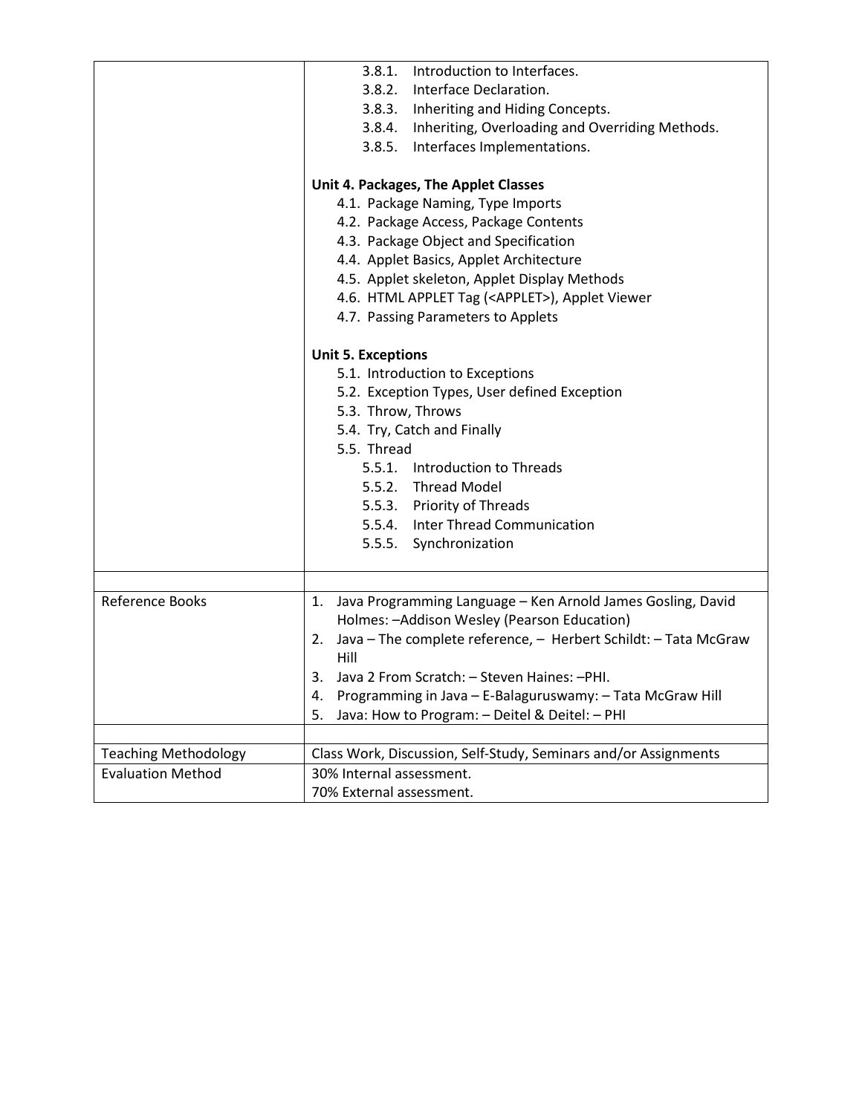|                             | 3.8.1. Introduction to Interfaces.                                            |
|-----------------------------|-------------------------------------------------------------------------------|
|                             | 3.8.2. Interface Declaration.                                                 |
|                             | 3.8.3. Inheriting and Hiding Concepts.                                        |
|                             | 3.8.4. Inheriting, Overloading and Overriding Methods.                        |
|                             | 3.8.5. Interfaces Implementations.                                            |
|                             |                                                                               |
|                             | Unit 4. Packages, The Applet Classes                                          |
|                             | 4.1. Package Naming, Type Imports                                             |
|                             | 4.2. Package Access, Package Contents                                         |
|                             | 4.3. Package Object and Specification                                         |
|                             | 4.4. Applet Basics, Applet Architecture                                       |
|                             | 4.5. Applet skeleton, Applet Display Methods                                  |
|                             | 4.6. HTML APPLET Tag ( <applet>), Applet Viewer</applet>                      |
|                             | 4.7. Passing Parameters to Applets                                            |
|                             | <b>Unit 5. Exceptions</b>                                                     |
|                             | 5.1. Introduction to Exceptions                                               |
|                             | 5.2. Exception Types, User defined Exception                                  |
|                             | 5.3. Throw, Throws                                                            |
|                             | 5.4. Try, Catch and Finally                                                   |
|                             | 5.5. Thread                                                                   |
|                             | 5.5.1. Introduction to Threads                                                |
|                             | 5.5.2. Thread Model                                                           |
|                             | 5.5.3. Priority of Threads                                                    |
|                             | 5.5.4. Inter Thread Communication                                             |
|                             |                                                                               |
|                             | 5.5.5. Synchronization                                                        |
|                             |                                                                               |
| Reference Books             | Java Programming Language - Ken Arnold James Gosling, David<br>1.             |
|                             | Holmes: - Addison Wesley (Pearson Education)                                  |
|                             | Java - The complete reference, - Herbert Schildt: - Tata McGraw<br>2.<br>Hill |
|                             | Java 2 From Scratch: - Steven Haines: - PHI.<br>3.                            |
|                             | Programming in Java - E-Balaguruswamy: - Tata McGraw Hill                     |
|                             | 4.<br>Java: How to Program: - Deitel & Deitel: - PHI                          |
|                             | 5.                                                                            |
| <b>Teaching Methodology</b> | Class Work, Discussion, Self-Study, Seminars and/or Assignments               |
| <b>Evaluation Method</b>    | 30% Internal assessment.                                                      |
|                             | 70% External assessment.                                                      |
|                             |                                                                               |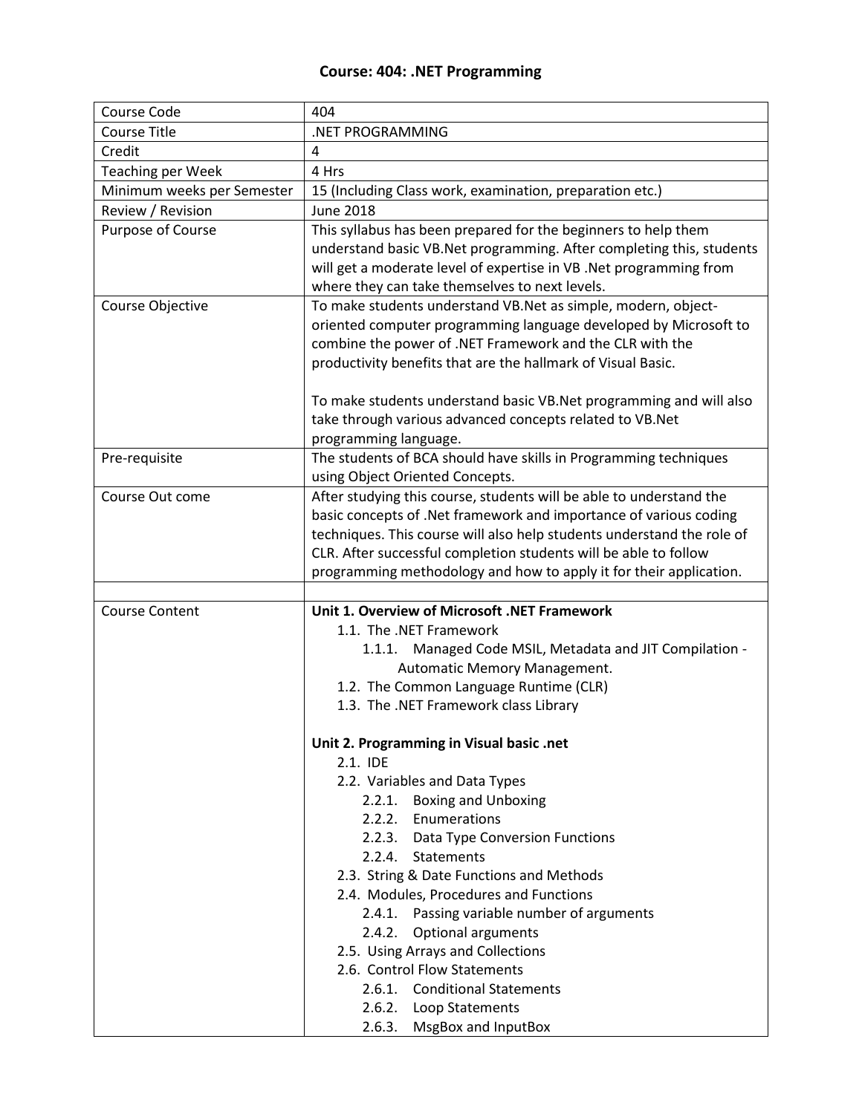## **Course: 404: .NET Programming**

| Course Code                | 404                                                                    |
|----------------------------|------------------------------------------------------------------------|
| <b>Course Title</b>        | .NET PROGRAMMING                                                       |
| Credit                     | 4                                                                      |
| <b>Teaching per Week</b>   | 4 Hrs                                                                  |
| Minimum weeks per Semester | 15 (Including Class work, examination, preparation etc.)               |
| Review / Revision          | <b>June 2018</b>                                                       |
| Purpose of Course          | This syllabus has been prepared for the beginners to help them         |
|                            | understand basic VB.Net programming. After completing this, students   |
|                            | will get a moderate level of expertise in VB .Net programming from     |
|                            | where they can take themselves to next levels.                         |
| <b>Course Objective</b>    | To make students understand VB.Net as simple, modern, object-          |
|                            | oriented computer programming language developed by Microsoft to       |
|                            | combine the power of .NET Framework and the CLR with the               |
|                            | productivity benefits that are the hallmark of Visual Basic.           |
|                            | To make students understand basic VB.Net programming and will also     |
|                            | take through various advanced concepts related to VB.Net               |
|                            | programming language.                                                  |
| Pre-requisite              | The students of BCA should have skills in Programming techniques       |
|                            | using Object Oriented Concepts.                                        |
| Course Out come            | After studying this course, students will be able to understand the    |
|                            | basic concepts of .Net framework and importance of various coding      |
|                            | techniques. This course will also help students understand the role of |
|                            | CLR. After successful completion students will be able to follow       |
|                            | programming methodology and how to apply it for their application.     |
|                            |                                                                        |
| <b>Course Content</b>      | Unit 1. Overview of Microsoft .NET Framework                           |
|                            | 1.1. The .NET Framework                                                |
|                            | 1.1.1. Managed Code MSIL, Metadata and JIT Compilation -               |
|                            | Automatic Memory Management.                                           |
|                            | 1.2. The Common Language Runtime (CLR)                                 |
|                            | 1.3. The .NET Framework class Library                                  |
|                            |                                                                        |
|                            | Unit 2. Programming in Visual basic .net                               |
|                            | 2.1. IDE                                                               |
|                            | 2.2. Variables and Data Types                                          |
|                            | 2.2.1. Boxing and Unboxing                                             |
|                            | 2.2.2. Enumerations                                                    |
|                            | 2.2.3.<br>Data Type Conversion Functions                               |
|                            | 2.2.4.<br><b>Statements</b>                                            |
|                            | 2.3. String & Date Functions and Methods                               |
|                            | 2.4. Modules, Procedures and Functions                                 |
|                            | Passing variable number of arguments<br>2.4.1.                         |
|                            | Optional arguments<br>2.4.2.                                           |
|                            | 2.5. Using Arrays and Collections                                      |
|                            | 2.6. Control Flow Statements<br>2.6.1. Conditional Statements          |
|                            |                                                                        |
|                            | 2.6.2. Loop Statements                                                 |
|                            | 2.6.3. MsgBox and InputBox                                             |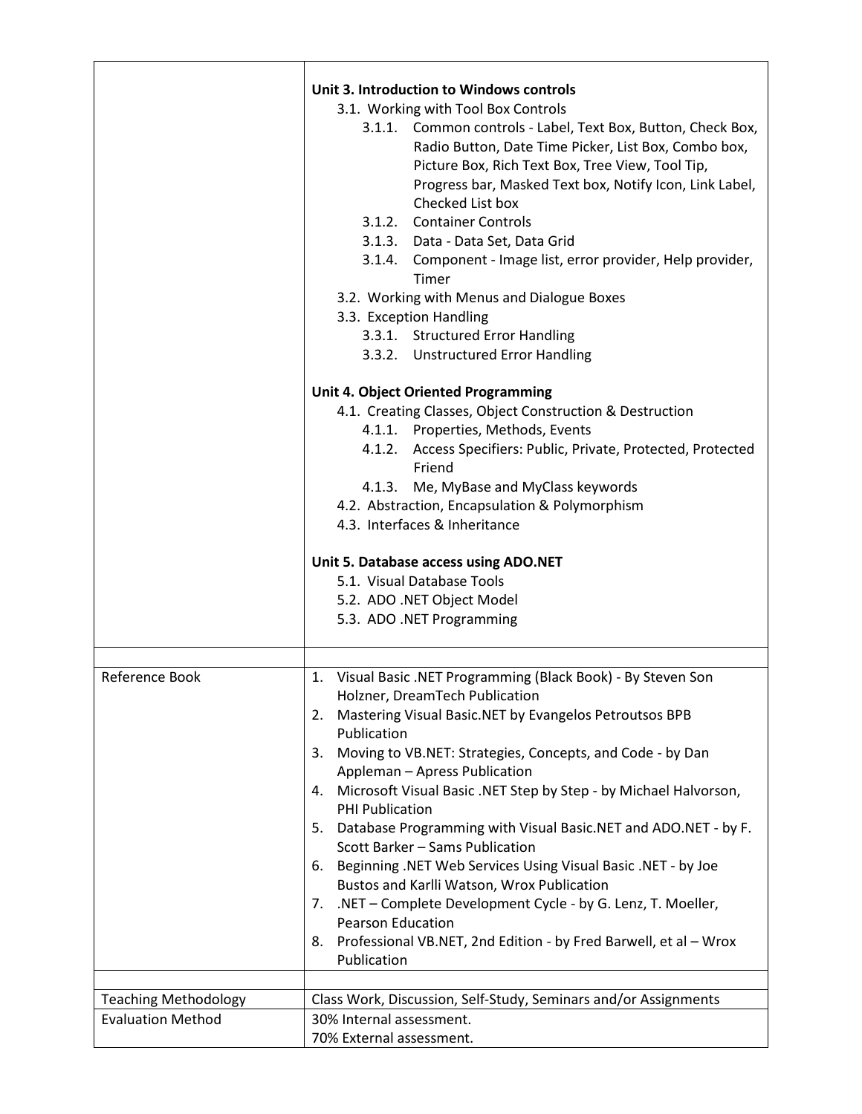|                                                         | Unit 3. Introduction to Windows controls<br>3.1. Working with Tool Box Controls<br>3.1.1. Common controls - Label, Text Box, Button, Check Box,<br>Radio Button, Date Time Picker, List Box, Combo box,<br>Picture Box, Rich Text Box, Tree View, Tool Tip,<br>Progress bar, Masked Text box, Notify Icon, Link Label,<br>Checked List box<br>3.1.2. Container Controls<br>3.1.3. Data - Data Set, Data Grid<br>3.1.4. Component - Image list, error provider, Help provider,<br>Timer<br>3.2. Working with Menus and Dialogue Boxes<br>3.3. Exception Handling<br>3.3.1. Structured Error Handling<br>3.3.2. Unstructured Error Handling                                                                                                                                                         |
|---------------------------------------------------------|---------------------------------------------------------------------------------------------------------------------------------------------------------------------------------------------------------------------------------------------------------------------------------------------------------------------------------------------------------------------------------------------------------------------------------------------------------------------------------------------------------------------------------------------------------------------------------------------------------------------------------------------------------------------------------------------------------------------------------------------------------------------------------------------------|
|                                                         | <b>Unit 4. Object Oriented Programming</b><br>4.1. Creating Classes, Object Construction & Destruction<br>4.1.1. Properties, Methods, Events<br>4.1.2. Access Specifiers: Public, Private, Protected, Protected<br>Friend<br>4.1.3. Me, MyBase and MyClass keywords<br>4.2. Abstraction, Encapsulation & Polymorphism<br>4.3. Interfaces & Inheritance                                                                                                                                                                                                                                                                                                                                                                                                                                            |
|                                                         | Unit 5. Database access using ADO.NET<br>5.1. Visual Database Tools<br>5.2. ADO .NET Object Model<br>5.3. ADO .NET Programming                                                                                                                                                                                                                                                                                                                                                                                                                                                                                                                                                                                                                                                                    |
| Reference Book                                          | 1. Visual Basic .NET Programming (Black Book) - By Steven Son<br>Holzner, DreamTech Publication<br>Mastering Visual Basic.NET by Evangelos Petroutsos BPB<br>2.<br>Publication<br>Moving to VB.NET: Strategies, Concepts, and Code - by Dan<br>3.<br>Appleman - Apress Publication<br>Microsoft Visual Basic .NET Step by Step - by Michael Halvorson,<br>4.<br>PHI Publication<br>Database Programming with Visual Basic.NET and ADO.NET - by F.<br>5.<br>Scott Barker - Sams Publication<br>Beginning .NET Web Services Using Visual Basic .NET - by Joe<br>6.<br>Bustos and Karlli Watson, Wrox Publication<br>.NET - Complete Development Cycle - by G. Lenz, T. Moeller,<br>7.<br>Pearson Education<br>Professional VB.NET, 2nd Edition - by Fred Barwell, et al - Wrox<br>8.<br>Publication |
| <b>Teaching Methodology</b><br><b>Evaluation Method</b> | Class Work, Discussion, Self-Study, Seminars and/or Assignments<br>30% Internal assessment.<br>70% External assessment.                                                                                                                                                                                                                                                                                                                                                                                                                                                                                                                                                                                                                                                                           |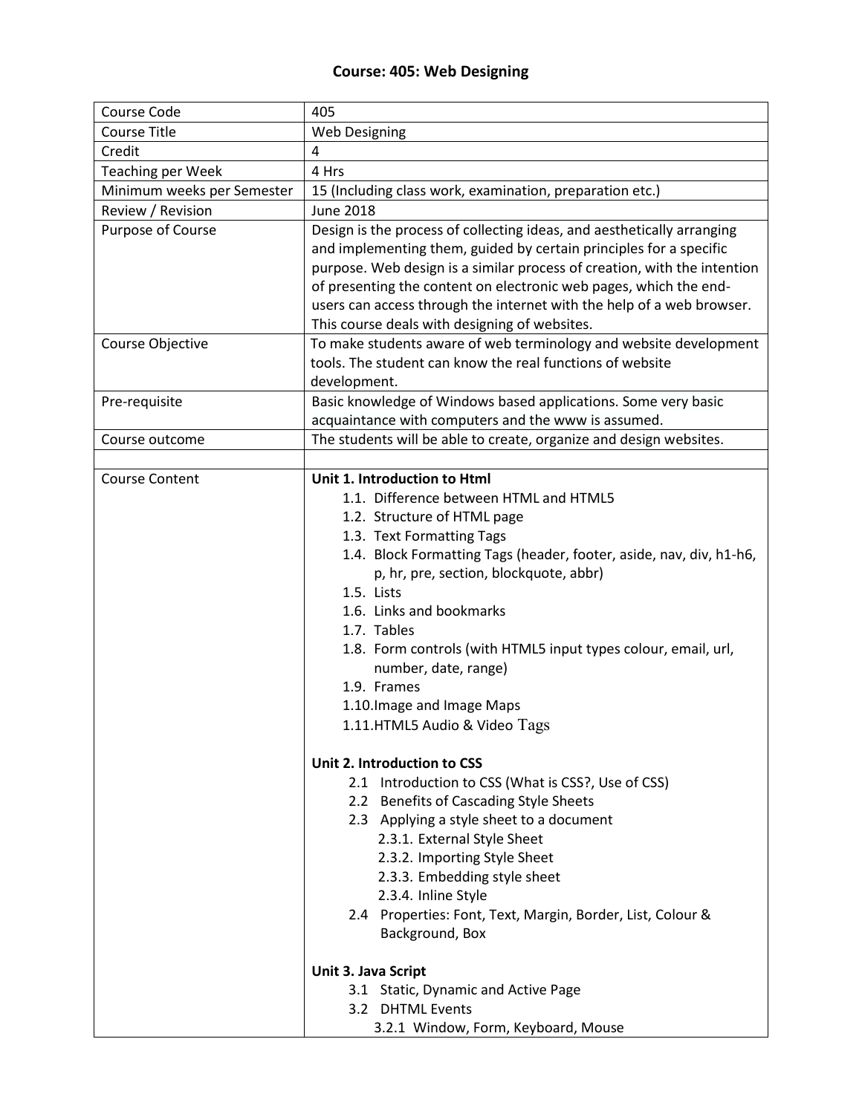## **Course: 405: Web Designing**

| Course Code                | 405                                                                                                                                                                                                                                                                                                                                                                                                                                                                                                     |
|----------------------------|---------------------------------------------------------------------------------------------------------------------------------------------------------------------------------------------------------------------------------------------------------------------------------------------------------------------------------------------------------------------------------------------------------------------------------------------------------------------------------------------------------|
| <b>Course Title</b>        | <b>Web Designing</b>                                                                                                                                                                                                                                                                                                                                                                                                                                                                                    |
| Credit                     | 4                                                                                                                                                                                                                                                                                                                                                                                                                                                                                                       |
| <b>Teaching per Week</b>   | 4 Hrs                                                                                                                                                                                                                                                                                                                                                                                                                                                                                                   |
| Minimum weeks per Semester | 15 (Including class work, examination, preparation etc.)                                                                                                                                                                                                                                                                                                                                                                                                                                                |
| Review / Revision          | <b>June 2018</b>                                                                                                                                                                                                                                                                                                                                                                                                                                                                                        |
| Purpose of Course          | Design is the process of collecting ideas, and aesthetically arranging<br>and implementing them, guided by certain principles for a specific<br>purpose. Web design is a similar process of creation, with the intention<br>of presenting the content on electronic web pages, which the end-<br>users can access through the internet with the help of a web browser.<br>This course deals with designing of websites.                                                                                 |
| Course Objective           | To make students aware of web terminology and website development<br>tools. The student can know the real functions of website<br>development.                                                                                                                                                                                                                                                                                                                                                          |
| Pre-requisite              | Basic knowledge of Windows based applications. Some very basic<br>acquaintance with computers and the www is assumed.                                                                                                                                                                                                                                                                                                                                                                                   |
| Course outcome             | The students will be able to create, organize and design websites.                                                                                                                                                                                                                                                                                                                                                                                                                                      |
|                            |                                                                                                                                                                                                                                                                                                                                                                                                                                                                                                         |
| <b>Course Content</b>      | Unit 1. Introduction to Html<br>1.1. Difference between HTML and HTML5<br>1.2. Structure of HTML page<br>1.3. Text Formatting Tags<br>1.4. Block Formatting Tags (header, footer, aside, nav, div, h1-h6,<br>p, hr, pre, section, blockquote, abbr)<br>1.5. Lists<br>1.6. Links and bookmarks<br>1.7. Tables<br>1.8. Form controls (with HTML5 input types colour, email, url,<br>number, date, range)<br>1.9. Frames<br>1.10. Image and Image Maps<br>1.11.HTML5 Audio & Video Tags                    |
|                            | Unit 2. Introduction to CSS<br>2.1 Introduction to CSS (What is CSS?, Use of CSS)<br>2.2 Benefits of Cascading Style Sheets<br>2.3 Applying a style sheet to a document<br>2.3.1. External Style Sheet<br>2.3.2. Importing Style Sheet<br>2.3.3. Embedding style sheet<br>2.3.4. Inline Style<br>2.4 Properties: Font, Text, Margin, Border, List, Colour &<br>Background, Box<br>Unit 3. Java Script<br>3.1 Static, Dynamic and Active Page<br>3.2 DHTML Events<br>3.2.1 Window, Form, Keyboard, Mouse |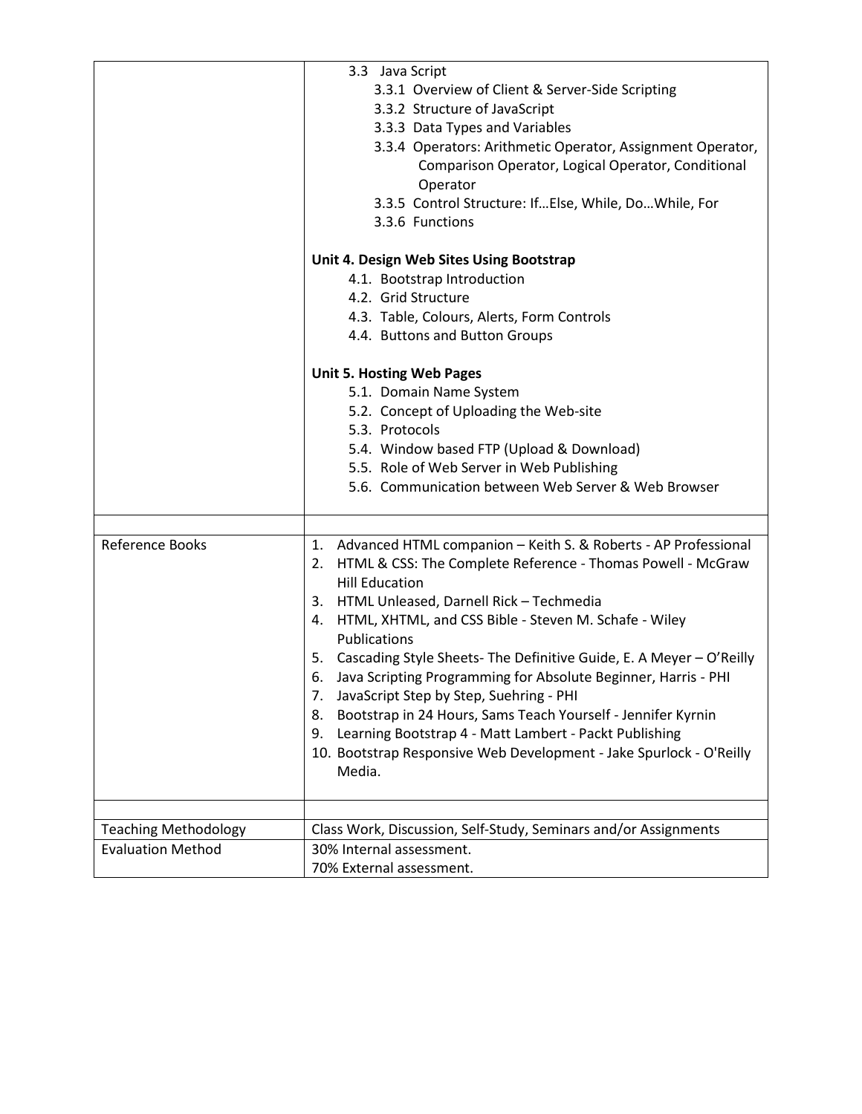|                             | 3.3 Java Script                                                                                                                                                                        |
|-----------------------------|----------------------------------------------------------------------------------------------------------------------------------------------------------------------------------------|
|                             | 3.3.1 Overview of Client & Server-Side Scripting                                                                                                                                       |
|                             | 3.3.2 Structure of JavaScript                                                                                                                                                          |
|                             | 3.3.3 Data Types and Variables                                                                                                                                                         |
|                             | 3.3.4 Operators: Arithmetic Operator, Assignment Operator,<br>Comparison Operator, Logical Operator, Conditional<br>Operator<br>3.3.5 Control Structure: If Else, While, Do While, For |
|                             | 3.3.6 Functions                                                                                                                                                                        |
|                             | Unit 4. Design Web Sites Using Bootstrap                                                                                                                                               |
|                             | 4.1. Bootstrap Introduction                                                                                                                                                            |
|                             | 4.2. Grid Structure                                                                                                                                                                    |
|                             | 4.3. Table, Colours, Alerts, Form Controls                                                                                                                                             |
|                             | 4.4. Buttons and Button Groups                                                                                                                                                         |
|                             | <b>Unit 5. Hosting Web Pages</b>                                                                                                                                                       |
|                             | 5.1. Domain Name System                                                                                                                                                                |
|                             | 5.2. Concept of Uploading the Web-site                                                                                                                                                 |
|                             | 5.3. Protocols                                                                                                                                                                         |
|                             | 5.4. Window based FTP (Upload & Download)                                                                                                                                              |
|                             | 5.5. Role of Web Server in Web Publishing                                                                                                                                              |
|                             | 5.6. Communication between Web Server & Web Browser                                                                                                                                    |
|                             |                                                                                                                                                                                        |
| Reference Books             | 1. Advanced HTML companion - Keith S. & Roberts - AP Professional<br>2. HTML & CSS: The Complete Reference - Thomas Powell - McGraw<br><b>Hill Education</b>                           |
|                             | 3. HTML Unleased, Darnell Rick - Techmedia                                                                                                                                             |
|                             | HTML, XHTML, and CSS Bible - Steven M. Schafe - Wiley<br>4.                                                                                                                            |
|                             | Publications                                                                                                                                                                           |
|                             | 5. Cascading Style Sheets- The Definitive Guide, E. A Meyer - O'Reilly                                                                                                                 |
|                             | Java Scripting Programming for Absolute Beginner, Harris - PHI<br>6.                                                                                                                   |
|                             | JavaScript Step by Step, Suehring - PHI<br>7.                                                                                                                                          |
|                             | Bootstrap in 24 Hours, Sams Teach Yourself - Jennifer Kyrnin<br>8.                                                                                                                     |
|                             | Learning Bootstrap 4 - Matt Lambert - Packt Publishing<br>9.                                                                                                                           |
|                             | 10. Bootstrap Responsive Web Development - Jake Spurlock - O'Reilly<br>Media.                                                                                                          |
|                             |                                                                                                                                                                                        |
| <b>Teaching Methodology</b> | Class Work, Discussion, Self-Study, Seminars and/or Assignments                                                                                                                        |
| <b>Evaluation Method</b>    | 30% Internal assessment.                                                                                                                                                               |
|                             | 70% External assessment.                                                                                                                                                               |